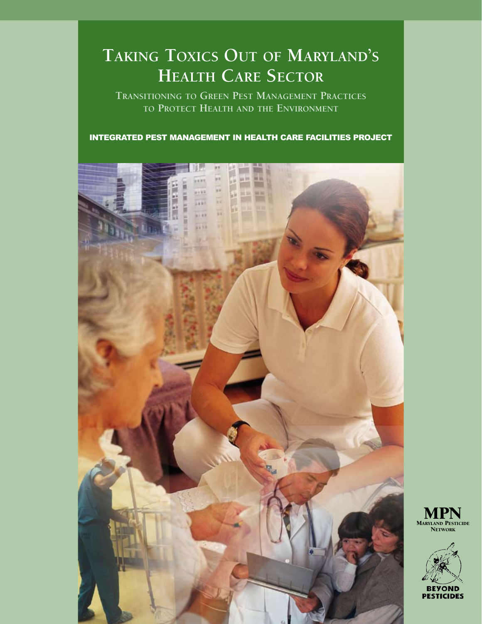# **Taking Toxics Out of Maryland's Health Care Sector**

**Transitioning to Green Pest Management Practices to Protect Health and the Environment**

Integrated Pest Management in Health Care Facilities Project



MARYLAND PESTICIDE **NETWORK** 

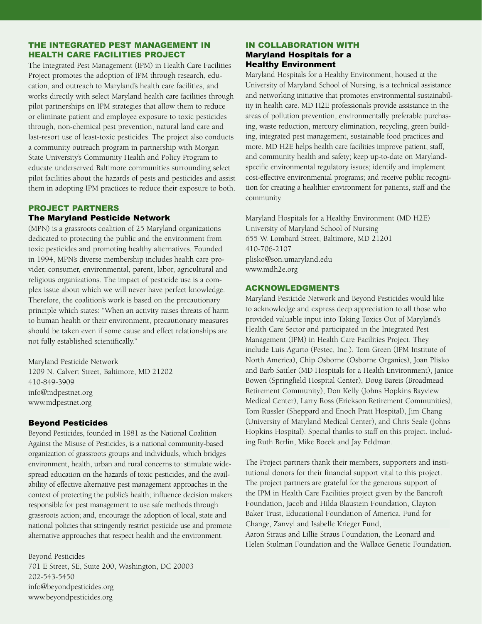### the Integrated Pest Management in Health Care Facilities Project

The Integrated Pest Management (IPM) in Health Care Facilities Project promotes the adoption of IPM through research, education, and outreach to Maryland's health care facilities, and works directly with select Maryland health care facilities through pilot partnerships on IPM strategies that allow them to reduce or eliminate patient and employee exposure to toxic pesticides through, non-chemical pest prevention, natural land care and last-resort use of least-toxic pesticides. The project also conducts a community outreach program in partnership with Morgan State University's Community Health and Policy Program to educate underserved Baltimore communities surrounding select pilot facilities about the hazards of pests and pesticides and assist them in adopting IPM practices to reduce their exposure to both.

#### PROJECT PARTNERS The Maryland Pesticide Network

(MPN) is a grassroots coalition of 25 Maryland organizations dedicated to protecting the public and the environment from toxic pesticides and promoting healthy alternatives. Founded in 1994, MPN's diverse membership includes health care provider, consumer, environmental, parent, labor, agricultural and religious organizations. The impact of pesticide use is a complex issue about which we will never have perfect knowledge. Therefore, the coalition's work is based on the precautionary principle which states: "When an activity raises threats of harm to human health or their environment, precautionary measures should be taken even if some cause and effect relationships are not fully established scientifically."

Maryland Pesticide Network 1209 N. Calvert Street, Baltimore, MD 21202 410-849-3909 info@mdpestnet.org www.mdpestnet.org

#### Beyond Pesticides

Beyond Pesticides, founded in 1981 as the National Coalition Against the Misuse of Pesticides, is a national community-based organization of grassroots groups and individuals, which bridges environment, health, urban and rural concerns to: stimulate widespread education on the hazards of toxic pesticides, and the availability of effective alternative pest management approaches in the context of protecting the public's health; influence decision makers responsible for pest management to use safe methods through grassroots action; and, encourage the adoption of local, state and national policies that stringently restrict pesticide use and promote alternative approaches that respect health and the environment.

Beyond Pesticides 701 E Street, SE, Suite 200, Washington, DC 20003 202-543-5450 info@beyondpesticides.org www.beyondpesticides.org

#### IN COLLABORATION WITH Maryland Hospitals for a Healthy Environment

Maryland Hospitals for a Healthy Environment, housed at the University of Maryland School of Nursing, is a technical assistance and networking initiative that promotes environmental sustainability in health care. MD H2E professionals provide assistance in the areas of pollution prevention, environmentally preferable purchasing, waste reduction, mercury elimination, recycling, green building, integrated pest management, sustainable food practices and more. MD H2E helps health care facilities improve patient, staff, and community health and safety; keep up-to-date on Marylandspecific environmental regulatory issues; identify and implement cost-effective environmental programs; and receive public recognition for creating a healthier environment for patients, staff and the community.

Maryland Hospitals for a Healthy Environment (MD H2E) University of Maryland School of Nursing 655 W. Lombard Street, Baltimore, MD 21201 410-706-2107 plisko@son.umaryland.edu www.mdh2e.org

#### Acknowledgments

Maryland Pesticide Network and Beyond Pesticides would like to acknowledge and express deep appreciation to all those who provided valuable input into Taking Toxics Out of Maryland's Health Care Sector and participated in the Integrated Pest Management (IPM) in Health Care Facilities Project. They include Luis Agurto (Pestec, Inc.), Tom Green (IPM Institute of North America), Chip Osborne (Osborne Organics), Joan Plisko and Barb Sattler (MD Hospitals for a Health Environment), Janice Bowen (Springfield Hospital Center), Doug Bareis (Broadmead Retirement Community), Don Kelly (Johns Hopkins Bayview Medical Center), Larry Ross (Erickson Retirement Communities), Tom Russler (Sheppard and Enoch Pratt Hospital), Jim Chang (University of Maryland Medical Center), and Chris Seale (Johns Hopkins Hospital). Special thanks to staff on this project, including Ruth Berlin, Mike Boeck and Jay Feldman.

The Project partners thank their members, supporters and institutional donors for their financial support vital to this project. The project partners are grateful for the generous support of the IPM in Health Care Facilities project given by the Bancroft Foundation, Jacob and Hilda Blaustein Foundation, Clayton Baker Trust, Educational Foundation of America, Fund for Change, Zanvyl and Isabelle Krieger Fund, Aaron Straus and Lillie Straus Foundation, the Leonard and

Helen Stulman Foundation and the Wallace Genetic Foundation.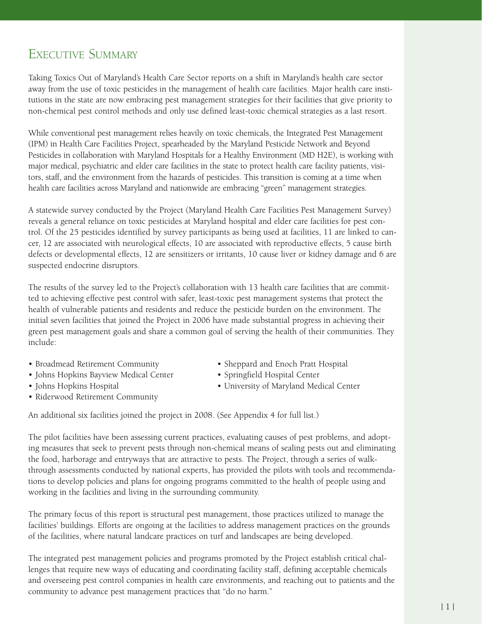# Executive Summary

Taking Toxics Out of Maryland's Health Care Sector reports on a shift in Maryland's health care sector away from the use of toxic pesticides in the management of health care facilities. Major health care institutions in the state are now embracing pest management strategies for their facilities that give priority to non-chemical pest control methods and only use defined least-toxic chemical strategies as a last resort.

While conventional pest management relies heavily on toxic chemicals, the Integrated Pest Management (IPM) in Health Care Facilities Project, spearheaded by the Maryland Pesticide Network and Beyond Pesticides in collaboration with Maryland Hospitals for a Healthy Environment (MD H2E), is working with major medical, psychiatric and elder care facilities in the state to protect health care facility patients, visitors, staff, and the environment from the hazards of pesticides. This transition is coming at a time when health care facilities across Maryland and nationwide are embracing "green" management strategies.

A statewide survey conducted by the Project (Maryland Health Care Facilities Pest Management Survey) reveals a general reliance on toxic pesticides at Maryland hospital and elder care facilities for pest control. Of the 25 pesticides identified by survey participants as being used at facilities, 11 are linked to cancer, 12 are associated with neurological effects, 10 are associated with reproductive effects, 5 cause birth defects or developmental effects, 12 are sensitizers or irritants, 10 cause liver or kidney damage and 6 are suspected endocrine disruptors.

The results of the survey led to the Project's collaboration with 13 health care facilities that are committed to achieving effective pest control with safer, least-toxic pest management systems that protect the health of vulnerable patients and residents and reduce the pesticide burden on the environment. The initial seven facilities that joined the Project in 2006 have made substantial progress in achieving their green pest management goals and share a common goal of serving the health of their communities. They include:

- Broadmead Retirement Community
- Johns Hopkins Bayview Medical Center •
- Johns Hopkins Hospital •
- Riderwood Retirement Community
- Sheppard and Enoch Pratt Hospital
- Springfield Hospital Center
- University of Maryland Medical Center •

An additional six facilities joined the project in 2008. (See Appendix 4 for full list.)

The pilot facilities have been assessing current practices, evaluating causes of pest problems, and adopting measures that seek to prevent pests through non-chemical means of sealing pests out and eliminating the food, harborage and entryways that are attractive to pests. The Project, through a series of walkthrough assessments conducted by national experts, has provided the pilots with tools and recommendations to develop policies and plans for ongoing programs committed to the health of people using and working in the facilities and living in the surrounding community.

The primary focus of this report is structural pest management, those practices utilized to manage the facilities' buildings. Efforts are ongoing at the facilities to address management practices on the grounds of the facilities, where natural landcare practices on turf and landscapes are being developed.

The integrated pest management policies and programs promoted by the Project establish critical challenges that require new ways of educating and coordinating facility staff, defining acceptable chemicals and overseeing pest control companies in health care environments, and reaching out to patients and the community to advance pest management practices that "do no harm."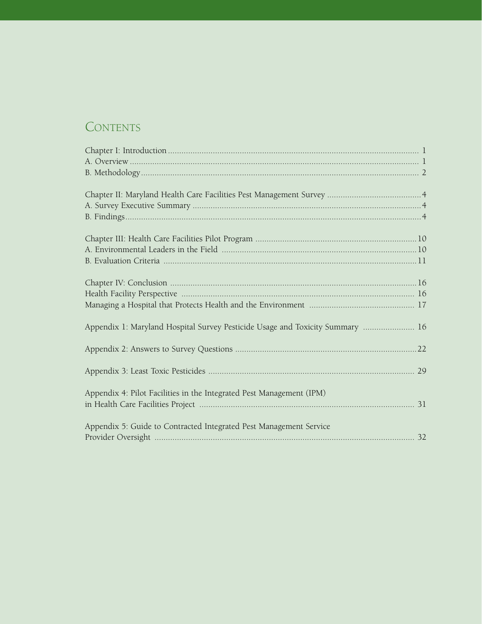# CONTENTS

| Appendix 1: Maryland Hospital Survey Pesticide Usage and Toxicity Summary  16 |  |
|-------------------------------------------------------------------------------|--|
|                                                                               |  |
|                                                                               |  |
|                                                                               |  |
|                                                                               |  |
|                                                                               |  |
| Appendix 4: Pilot Facilities in the Integrated Pest Management (IPM)          |  |
|                                                                               |  |
|                                                                               |  |
| Appendix 5: Guide to Contracted Integrated Pest Management Service            |  |
|                                                                               |  |
|                                                                               |  |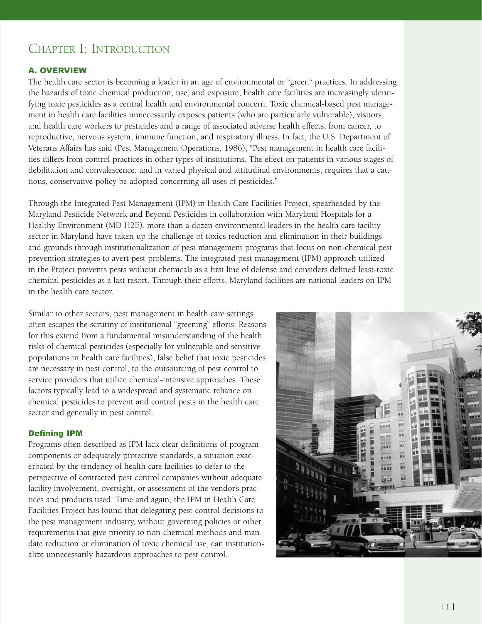# Chapter I: Introduction

#### A. Overview

The health care sector is becoming a leader in an age of environmental or "green" practices. In addressing the hazards of toxic chemical production, use, and exposure, health care facilities are increasingly identifying toxic pesticides as a central health and environmental concern. Toxic chemical-based pest management in health care facilities unnecessarily exposes patients (who are particularly vulnerable), visitors, and health care workers to pesticides and a range of associated adverse health effects, from cancer, to reproductive, nervous system, immune function, and respiratory illness. In fact, the U.S. Department of Veterans Affairs has said (Pest Management Operations, 1986), "Pest management in health care facilities differs from control practices in other types of institutions. The effect on patients in various stages of debilitation and convalescence, and in varied physical and attitudinal environments, requires that a cautious, conservative policy be adopted concerning all uses of pesticides."

Through the Integrated Pest Management (IPM) in Health Care Facilities Project, spearheaded by the Maryland Pesticide Network and Beyond Pesticides in collaboration with Maryland Hospitals for a Healthy Environment (MD H2E), more than a dozen environmental leaders in the health care facility sector in Maryland have taken up the challenge of toxics reduction and elimination in their buildings and grounds through institutionalization of pest management programs that focus on non-chemical pest prevention strategies to avert pest problems. The integrated pest management (IPM) approach utilized in the Project prevents pests without chemicals as a first line of defense and considers defined least-toxic chemical pesticides as a last resort. Through their efforts, Maryland facilities are national leaders on IPM in the health care sector.

Similar to other sectors, pest management in health care settings often escapes the scrutiny of institutional "greening" efforts. Reasons for this extend from a fundamental misunderstanding of the health risks of chemical pesticides (especially for vulnerable and sensitive populations in health care facilities), false belief that toxic pesticides are necessary in pest control, to the outsourcing of pest control to service providers that utilize chemical-intensive approaches. These factors typically lead to a widespread and systematic reliance on chemical pesticides to prevent and control pests in the health care sector and generally in pest control.

#### Defining IPM

Programs often described as IPM lack clear definitions of program components or adequately protective standards, a situation exacerbated by the tendency of health care facilities to defer to the perspective of contracted pest control companies without adequate facility involvement, oversight, or assessment of the vendor's practices and products used. Time and again, the IPM in Health Care Facilities Project has found that delegating pest control decisions to the pest management industry, without governing policies or other requirements that give priority to non-chemical methods and mandate reduction or elimination of toxic chemical use, can institutionalize unnecessarily hazardous approaches to pest control.

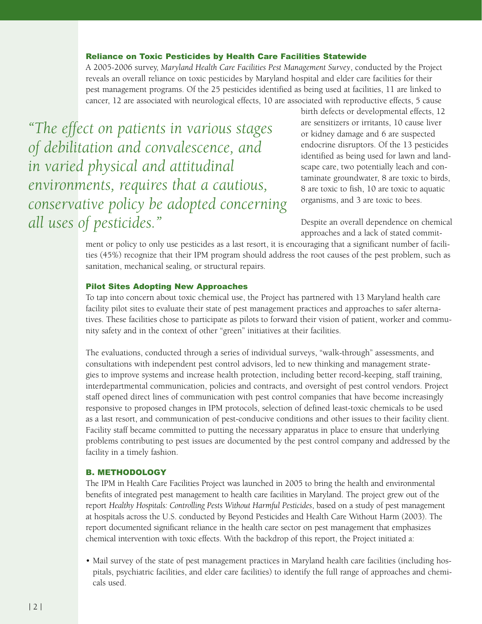#### Reliance on Toxic Pesticides by Health Care Facilities Statewide

A 2005-2006 survey, *Maryland Health Care Facilities Pest Management Survey*, conducted by the Project reveals an overall reliance on toxic pesticides by Maryland hospital and elder care facilities for their pest management programs. Of the 25 pesticides identified as being used at facilities, 11 are linked to cancer, 12 are associated with neurological effects, 10 are associated with reproductive effects, 5 cause

*"The effect on patients in various stages of debilitation and convalescence, and in varied physical and attitudinal environments, requires that a cautious, conservative policy be adopted concerning all uses of pesticides."*

birth defects or developmental effects, 12 are sensitizers or irritants, 10 cause liver or kidney damage and 6 are suspected endocrine disruptors. Of the 13 pesticides identified as being used for lawn and landscape care, two potentially leach and contaminate groundwater, 8 are toxic to birds, 8 are toxic to fish, 10 are toxic to aquatic organisms, and 3 are toxic to bees.

Despite an overall dependence on chemical approaches and a lack of stated commit-

ment or policy to only use pesticides as a last resort, it is encouraging that a significant number of facilities (45%) recognize that their IPM program should address the root causes of the pest problem, such as sanitation, mechanical sealing, or structural repairs.

#### Pilot Sites Adopting New Approaches

To tap into concern about toxic chemical use, the Project has partnered with 13 Maryland health care facility pilot sites to evaluate their state of pest management practices and approaches to safer alternatives. These facilities chose to participate as pilots to forward their vision of patient, worker and community safety and in the context of other "green" initiatives at their facilities.

The evaluations, conducted through a series of individual surveys, "walk-through" assessments, and consultations with independent pest control advisors, led to new thinking and management strategies to improve systems and increase health protection, including better record-keeping, staff training, interdepartmental communication, policies and contracts, and oversight of pest control vendors. Project staff opened direct lines of communication with pest control companies that have become increasingly responsive to proposed changes in IPM protocols, selection of defined least-toxic chemicals to be used as a last resort, and communication of pest-conducive conditions and other issues to their facility client. Facility staff became committed to putting the necessary apparatus in place to ensure that underlying problems contributing to pest issues are documented by the pest control company and addressed by the facility in a timely fashion.

#### B. Methodology

The IPM in Health Care Facilities Project was launched in 2005 to bring the health and environmental benefits of integrated pest management to health care facilities in Maryland. The project grew out of the report *Healthy Hospitals: Controlling Pests Without Harmful Pesticides*, based on a study of pest management at hospitals across the U.S. conducted by Beyond Pesticides and Health Care Without Harm (2003). The report documented significant reliance in the health care sector on pest management that emphasizes chemical intervention with toxic effects. With the backdrop of this report, the Project initiated a:

• Mail survey of the state of pest management practices in Maryland health care facilities (including hospitals, psychiatric facilities, and elder care facilities) to identify the full range of approaches and chemicals used.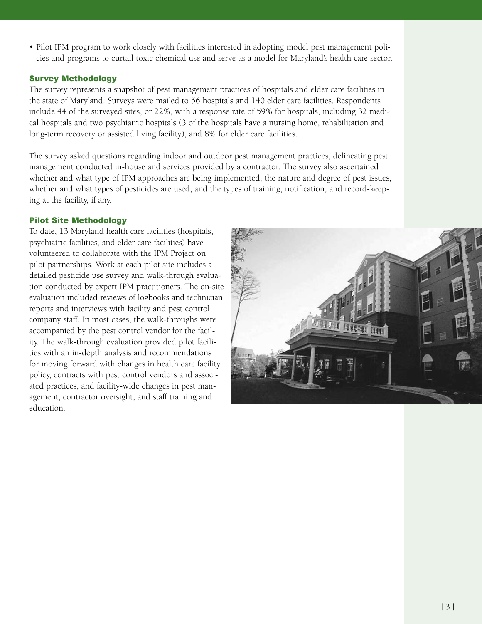• Pilot IPM program to work closely with facilities interested in adopting model pest management policies and programs to curtail toxic chemical use and serve as a model for Maryland's health care sector.

### Survey Methodology

The survey represents a snapshot of pest management practices of hospitals and elder care facilities in the state of Maryland. Surveys were mailed to 56 hospitals and 140 elder care facilities. Respondents include 44 of the surveyed sites, or 22%, with a response rate of 59% for hospitals, including 32 medical hospitals and two psychiatric hospitals (3 of the hospitals have a nursing home, rehabilitation and long-term recovery or assisted living facility), and 8% for elder care facilities.

The survey asked questions regarding indoor and outdoor pest management practices, delineating pest management conducted in-house and services provided by a contractor. The survey also ascertained whether and what type of IPM approaches are being implemented, the nature and degree of pest issues, whether and what types of pesticides are used, and the types of training, notification, and record-keeping at the facility, if any.

## Pilot Site Methodology

To date, 13 Maryland health care facilities (hospitals, psychiatric facilities, and elder care facilities) have volunteered to collaborate with the IPM Project on pilot partnerships. Work at each pilot site includes a detailed pesticide use survey and walk-through evaluation conducted by expert IPM practitioners. The on-site evaluation included reviews of logbooks and technician reports and interviews with facility and pest control company staff. In most cases, the walk-throughs were accompanied by the pest control vendor for the facility. The walk-through evaluation provided pilot facilities with an in-depth analysis and recommendations for moving forward with changes in health care facility policy, contracts with pest control vendors and associated practices, and facility-wide changes in pest management, contractor oversight, and staff training and education.

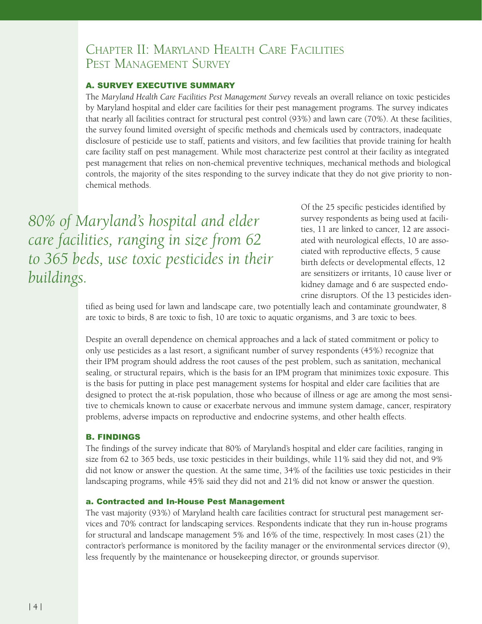# Chapter II: Maryland Health Care Facilities Pest Management Survey

#### A. Survey Executive Summary

The *Maryland Health Care Facilities Pest Management Survey* reveals an overall reliance on toxic pesticides by Maryland hospital and elder care facilities for their pest management programs. The survey indicates that nearly all facilities contract for structural pest control (93%) and lawn care (70%). At these facilities, the survey found limited oversight of specific methods and chemicals used by contractors, inadequate disclosure of pesticide use to staff, patients and visitors, and few facilities that provide training for health care facility staff on pest management. While most characterize pest control at their facility as integrated pest management that relies on non-chemical preventive techniques, mechanical methods and biological controls, the majority of the sites responding to the survey indicate that they do not give priority to nonchemical methods.

*80% of Maryland's hospital and elder care facilities, ranging in size from 62 to 365 beds, use toxic pesticides in their buildings.*

Of the 25 specific pesticides identified by survey respondents as being used at facilities, 11 are linked to cancer, 12 are associated with neurological effects, 10 are associated with reproductive effects, 5 cause birth defects or developmental effects, 12 are sensitizers or irritants, 10 cause liver or kidney damage and 6 are suspected endocrine disruptors. Of the 13 pesticides iden-

tified as being used for lawn and landscape care, two potentially leach and contaminate groundwater, 8 are toxic to birds, 8 are toxic to fish, 10 are toxic to aquatic organisms, and 3 are toxic to bees.

Despite an overall dependence on chemical approaches and a lack of stated commitment or policy to only use pesticides as a last resort, a significant number of survey respondents (45%) recognize that their IPM program should address the root causes of the pest problem, such as sanitation, mechanical sealing, or structural repairs, which is the basis for an IPM program that minimizes toxic exposure. This is the basis for putting in place pest management systems for hospital and elder care facilities that are designed to protect the at-risk population, those who because of illness or age are among the most sensitive to chemicals known to cause or exacerbate nervous and immune system damage, cancer, respiratory problems, adverse impacts on reproductive and endocrine systems, and other health effects.

#### B. Findings

The findings of the survey indicate that 80% of Maryland's hospital and elder care facilities, ranging in size from 62 to 365 beds, use toxic pesticides in their buildings, while 11% said they did not, and 9% did not know or answer the question. At the same time, 34% of the facilities use toxic pesticides in their landscaping programs, while 45% said they did not and 21% did not know or answer the question.

#### a. Contracted and In-House Pest Management

The vast majority (93%) of Maryland health care facilities contract for structural pest management services and 70% contract for landscaping services. Respondents indicate that they run in-house programs for structural and landscape management 5% and 16% of the time, respectively. In most cases (21) the contractor's performance is monitored by the facility manager or the environmental services director (9), less frequently by the maintenance or housekeeping director, or grounds supervisor.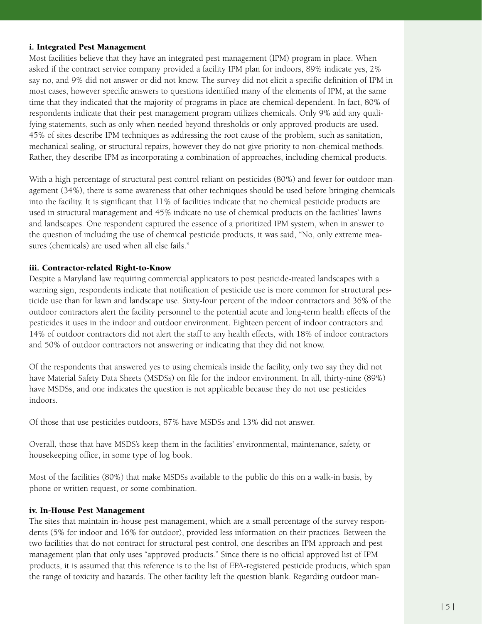#### i. Integrated Pest Management

Most facilities believe that they have an integrated pest management (IPM) program in place. When asked if the contract service company provided a facility IPM plan for indoors, 89% indicate yes, 2% say no, and 9% did not answer or did not know. The survey did not elicit a specific definition of IPM in most cases, however specific answers to questions identified many of the elements of IPM, at the same time that they indicated that the majority of programs in place are chemical-dependent. In fact, 80% of respondents indicate that their pest management program utilizes chemicals. Only 9% add any qualifying statements, such as only when needed beyond thresholds or only approved products are used. 45% of sites describe IPM techniques as addressing the root cause of the problem, such as sanitation, mechanical sealing, or structural repairs, however they do not give priority to non-chemical methods. Rather, they describe IPM as incorporating a combination of approaches, including chemical products.

With a high percentage of structural pest control reliant on pesticides (80%) and fewer for outdoor management (34%), there is some awareness that other techniques should be used before bringing chemicals into the facility. It is significant that 11% of facilities indicate that no chemical pesticide products are used in structural management and 45% indicate no use of chemical products on the facilities' lawns and landscapes. One respondent captured the essence of a prioritized IPM system, when in answer to the question of including the use of chemical pesticide products, it was said, "No, only extreme measures (chemicals) are used when all else fails."

#### iii. Contractor-related Right-to-Know

Despite a Maryland law requiring commercial applicators to post pesticide-treated landscapes with a warning sign, respondents indicate that notification of pesticide use is more common for structural pesticide use than for lawn and landscape use. Sixty-four percent of the indoor contractors and 36% of the outdoor contractors alert the facility personnel to the potential acute and long-term health effects of the pesticides it uses in the indoor and outdoor environment. Eighteen percent of indoor contractors and 14% of outdoor contractors did not alert the staff to any health effects, with 18% of indoor contractors and 50% of outdoor contractors not answering or indicating that they did not know.

Of the respondents that answered yes to using chemicals inside the facility, only two say they did not have Material Safety Data Sheets (MSDSs) on file for the indoor environment. In all, thirty-nine (89%) have MSDSs, and one indicates the question is not applicable because they do not use pesticides indoors.

Of those that use pesticides outdoors, 87% have MSDSs and 13% did not answer.

Overall, those that have MSDS's keep them in the facilities' environmental, maintenance, safety, or housekeeping office, in some type of log book.

Most of the facilities (80%) that make MSDSs available to the public do this on a walk-in basis, by phone or written request, or some combination.

#### iv. In-House Pest Management

The sites that maintain in-house pest management, which are a small percentage of the survey respondents (5% for indoor and 16% for outdoor), provided less information on their practices. Between the two facilities that do not contract for structural pest control, one describes an IPM approach and pest management plan that only uses "approved products." Since there is no official approved list of IPM products, it is assumed that this reference is to the list of EPA-registered pesticide products, which span the range of toxicity and hazards. The other facility left the question blank. Regarding outdoor man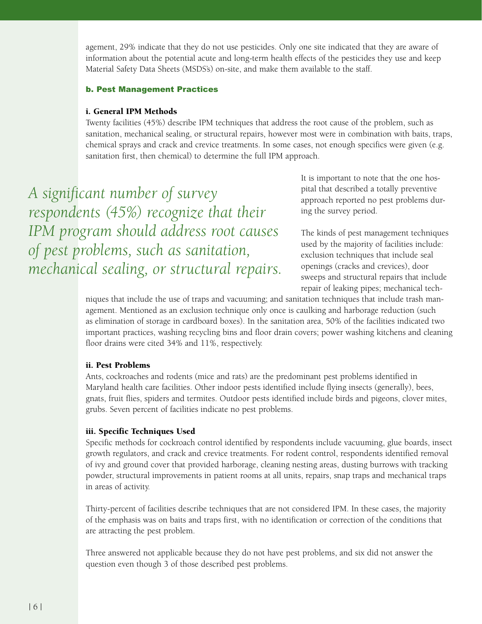agement, 29% indicate that they do not use pesticides. Only one site indicated that they are aware of information about the potential acute and long-term health effects of the pesticides they use and keep Material Safety Data Sheets (MSDS's) on-site, and make them available to the staff.

#### b. Pest Management Practices

#### i. General IPM Methods

Twenty facilities (45%) describe IPM techniques that address the root cause of the problem, such as sanitation, mechanical sealing, or structural repairs, however most were in combination with baits, traps, chemical sprays and crack and crevice treatments. In some cases, not enough specifics were given (e.g. sanitation first, then chemical) to determine the full IPM approach.

*A significant number of survey respondents (45%) recognize that their IPM program should address root causes of pest problems, such as sanitation, mechanical sealing, or structural repairs.* It is important to note that the one hospital that described a totally preventive approach reported no pest problems during the survey period.

The kinds of pest management techniques used by the majority of facilities include: exclusion techniques that include seal openings (cracks and crevices), door sweeps and structural repairs that include repair of leaking pipes; mechanical tech-

niques that include the use of traps and vacuuming; and sanitation techniques that include trash management. Mentioned as an exclusion technique only once is caulking and harborage reduction (such as elimination of storage in cardboard boxes). In the sanitation area, 50% of the facilities indicated two important practices, washing recycling bins and floor drain covers; power washing kitchens and cleaning floor drains were cited 34% and 11%, respectively.

#### ii. Pest Problems

Ants, cockroaches and rodents (mice and rats) are the predominant pest problems identified in Maryland health care facilities. Other indoor pests identified include flying insects (generally), bees, gnats, fruit flies, spiders and termites. Outdoor pests identified include birds and pigeons, clover mites, grubs. Seven percent of facilities indicate no pest problems.

#### iii. Specific Techniques Used

Specific methods for cockroach control identified by respondents include vacuuming, glue boards, insect growth regulators, and crack and crevice treatments. For rodent control, respondents identified removal of ivy and ground cover that provided harborage, cleaning nesting areas, dusting burrows with tracking powder, structural improvements in patient rooms at all units, repairs, snap traps and mechanical traps in areas of activity.

Thirty-percent of facilities describe techniques that are not considered IPM. In these cases, the majority of the emphasis was on baits and traps first, with no identification or correction of the conditions that are attracting the pest problem.

Three answered not applicable because they do not have pest problems, and six did not answer the question even though 3 of those described pest problems.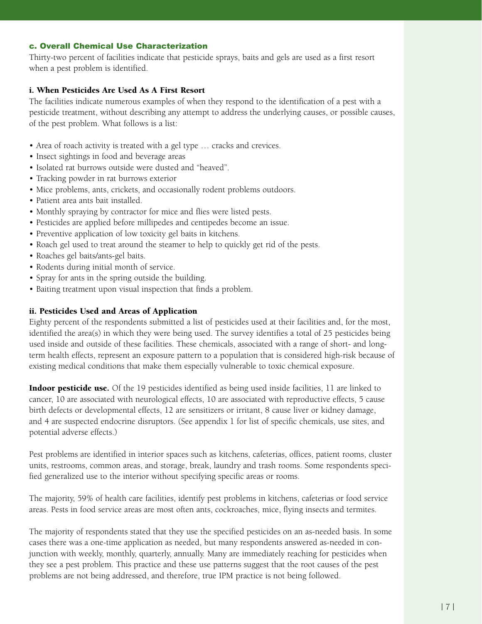## c. Overall Chemical Use Characterization

Thirty-two percent of facilities indicate that pesticide sprays, baits and gels are used as a first resort when a pest problem is identified.

### i. When Pesticides Are Used As A First Resort

The facilities indicate numerous examples of when they respond to the identification of a pest with a pesticide treatment, without describing any attempt to address the underlying causes, or possible causes, of the pest problem. What follows is a list:

- Area of roach activity is treated with a gel type ... cracks and crevices.
- Insect sightings in food and beverage areas
- Isolated rat burrows outside were dusted and "heaved".
- Tracking powder in rat burrows exterior
- Mice problems, ants, crickets, and occasionally rodent problems outdoors.
- Patient area ants bait installed.
- Monthly spraying by contractor for mice and flies were listed pests.
- Pesticides are applied before millipedes and centipedes become an issue. •
- Preventive application of low toxicity gel baits in kitchens.
- Roach gel used to treat around the steamer to help to quickly get rid of the pests.
- Roaches gel baits/ants-gel baits.
- Rodents during initial month of service.
- Spray for ants in the spring outside the building.
- Baiting treatment upon visual inspection that finds a problem.

#### ii. Pesticides Used and Areas of Application

Eighty percent of the respondents submitted a list of pesticides used at their facilities and, for the most, identified the area(s) in which they were being used. The survey identifies a total of 25 pesticides being used inside and outside of these facilities. These chemicals, associated with a range of short- and longterm health effects, represent an exposure pattern to a population that is considered high-risk because of existing medical conditions that make them especially vulnerable to toxic chemical exposure.

**Indoor pesticide use.** Of the 19 pesticides identified as being used inside facilities, 11 are linked to cancer, 10 are associated with neurological effects, 10 are associated with reproductive effects, 5 cause birth defects or developmental effects, 12 are sensitizers or irritant, 8 cause liver or kidney damage, and 4 are suspected endocrine disruptors. (See appendix 1 for list of specific chemicals, use sites, and potential adverse effects.)

Pest problems are identified in interior spaces such as kitchens, cafeterias, offices, patient rooms, cluster units, restrooms, common areas, and storage, break, laundry and trash rooms. Some respondents specified generalized use to the interior without specifying specific areas or rooms.

The majority, 59% of health care facilities, identify pest problems in kitchens, cafeterias or food service areas. Pests in food service areas are most often ants, cockroaches, mice, flying insects and termites.

The majority of respondents stated that they use the specified pesticides on an as-needed basis. In some cases there was a one-time application as needed, but many respondents answered as-needed in conjunction with weekly, monthly, quarterly, annually. Many are immediately reaching for pesticides when they see a pest problem. This practice and these use patterns suggest that the root causes of the pest problems are not being addressed, and therefore, true IPM practice is not being followed.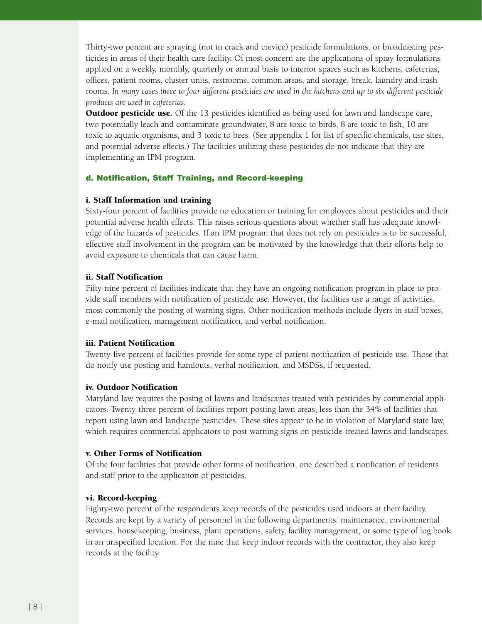Thirty-two percent are spraying (not in crack and crevice) pesticide formulations, or broadcasting pesticides in areas of their health care facility. Of most concern are the applications of spray formulations applied on a weekly, monthly, quarterly or annual basis to interior spaces such as kitchens, cafeterias, offices, patient rooms, cluster units, restrooms, common areas, and storage, break, laundry and trash rooms. *In many cases three to four different pesticides are used in the kitchens and up to six different pesticide products are used in cafeterias.*

**Outdoor pesticide use.** Of the 13 pesticides identified as being used for lawn and landscape care, two potentially leach and contaminate groundwater, 8 are toxic to birds, 8 are toxic to fish, 10 are toxic to aquatic organisms, and 3 toxic to bees. (See appendix 1 for list of specific chemicals, use sites, and potential adverse effects.) The facilities utilizing these pesticides do not indicate that they are implementing an IPM program.

# d. Notification, Staff Training, and Record-keeping

#### i. Staff Information and training

Sixty-four percent of facilities provide no education or training for employees about pesticides and their potential adverse health effects. This raises serious questions about whether staff has adequate knowledge of the hazards of pesticides. If an IPM program that does not rely on pesticides is to be successful, effective staff involvement in the program can be motivated by the knowledge that their efforts help to avoid exposure to chemicals that can cause harm.

## ii. Staff Notification

Fifty-nine percent of facilities indicate that they have an ongoing notification program in place to provide staff members with notification of pesticide use. However, the facilities use a range of activities, most commonly the posting of warning signs. Other notification methods include flyers in staff boxes, e-mail notification, management notification, and verbal notification.

#### iii. Patient Notification

Twenty-five percent of facilities provide for some type of patient notification of pesticide use. Those that do notify use posting and handouts, verbal notification, and MSDS's, if requested.

#### iv. Outdoor Notification

Maryland law requires the posing of lawns and landscapes treated with pesticides by commercial applicators. Twenty-three percent of facilities report posting lawn areas, less than the 34% of facilities that report using lawn and landscape pesticides. These sites appear to be in violation of Maryland state law, which requires commercial applicators to post warning signs on pesticide-treated lawns and landscapes.

#### v. Other Forms of Notification

Of the four facilities that provide other forms of notification, one described a notification of residents and staff prior to the application of pesticides.

# vi. Record-keeping

Eighty-two percent of the respondents keep records of the pesticides used indoors at their facility. Records are kept by a variety of personnel in the following departments: maintenance, environmental services, housekeeping, business, plant operations, safety, facility management, or some type of log book in an unspecified location. For the nine that keep indoor records with the contractor, they also keep records at the facility.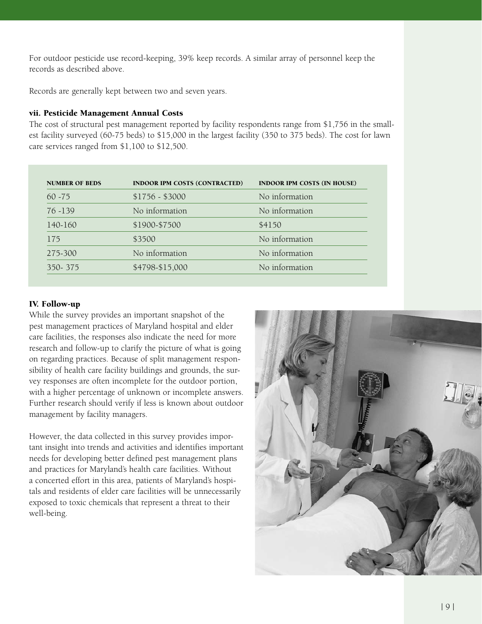For outdoor pesticide use record-keeping, 39% keep records. A similar array of personnel keep the records as described above.

Records are generally kept between two and seven years.

## vii. Pesticide Management Annual Costs

The cost of structural pest management reported by facility respondents range from \$1,756 in the smallest facility surveyed (60-75 beds) to \$15,000 in the largest facility (350 to 375 beds). The cost for lawn care services ranged from \$1,100 to \$12,500.

| <b>NUMBER OF BEDS</b> | <b>INDOOR IPM COSTS (CONTRACTED)</b> | <b>INDOOR IPM COSTS (IN HOUSE)</b> |
|-----------------------|--------------------------------------|------------------------------------|
| $60 - 75$             | $$1756 - $3000$                      | No information                     |
| $76 - 139$            | No information                       | No information                     |
| 140-160               | \$1900-\$7500                        | \$4150                             |
| 175                   | \$3500                               | No information                     |
| 275-300               | No information                       | No information                     |
| 350-375               | \$4798-\$15,000                      | No information                     |

#### IV. Follow-up

While the survey provides an important snapshot of the pest management practices of Maryland hospital and elder care facilities, the responses also indicate the need for more research and follow-up to clarify the picture of what is going on regarding practices. Because of split management responsibility of health care facility buildings and grounds, the survey responses are often incomplete for the outdoor portion, with a higher percentage of unknown or incomplete answers. Further research should verify if less is known about outdoor management by facility managers.

However, the data collected in this survey provides important insight into trends and activities and identifies important needs for developing better defined pest management plans and practices for Maryland's health care facilities. Without a concerted effort in this area, patients of Maryland's hospitals and residents of elder care facilities will be unnecessarily exposed to toxic chemicals that represent a threat to their well-being.

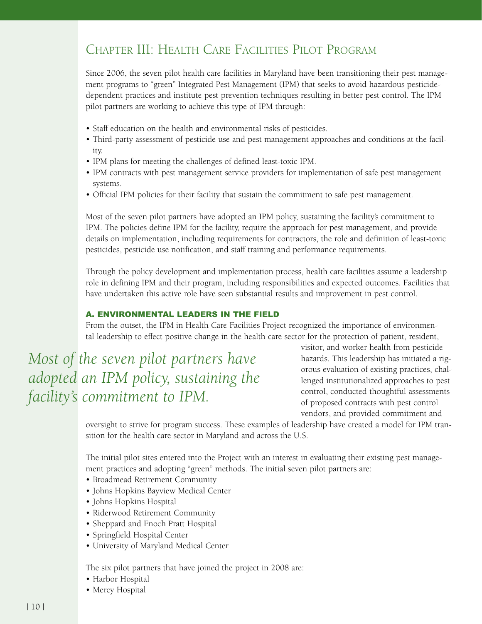# Chapter III: Health Care Facilities Pilot Program

Since 2006, the seven pilot health care facilities in Maryland have been transitioning their pest management programs to "green" Integrated Pest Management (IPM) that seeks to avoid hazardous pesticidedependent practices and institute pest prevention techniques resulting in better pest control. The IPM pilot partners are working to achieve this type of IPM through:

- Staff education on the health and environmental risks of pesticides.
- Third-party assessment of pesticide use and pest management approaches and conditions at the facil-• ity.
- IPM plans for meeting the challenges of defined least-toxic IPM. •
- IPM contracts with pest management service providers for implementation of safe pest management systems.
- Official IPM policies for their facility that sustain the commitment to safe pest management.

Most of the seven pilot partners have adopted an IPM policy, sustaining the facility's commitment to IPM. The policies define IPM for the facility, require the approach for pest management, and provide details on implementation, including requirements for contractors, the role and definition of least-toxic pesticides, pesticide use notification, and staff training and performance requirements.

Through the policy development and implementation process, health care facilities assume a leadership role in defining IPM and their program, including responsibilities and expected outcomes. Facilities that have undertaken this active role have seen substantial results and improvement in pest control.

# A. Environmental Leaders in the Field

From the outset, the IPM in Health Care Facilities Project recognized the importance of environmental leadership to effect positive change in the health care sector for the protection of patient, resident,

*Most of the seven pilot partners have adopted an IPM policy, sustaining the facility's commitment to IPM.*

visitor, and worker health from pesticide hazards. This leadership has initiated a rigorous evaluation of existing practices, challenged institutionalized approaches to pest control, conducted thoughtful assessments of proposed contracts with pest control vendors, and provided commitment and

oversight to strive for program success. These examples of leadership have created a model for IPM transition for the health care sector in Maryland and across the U.S.

The initial pilot sites entered into the Project with an interest in evaluating their existing pest management practices and adopting "green" methods. The initial seven pilot partners are:

- Broadmead Retirement Community
- Johns Hopkins Bayview Medical Center •
- Johns Hopkins Hospital •
- Riderwood Retirement Community
- Sheppard and Enoch Pratt Hospital
- Springfield Hospital Center
- University of Maryland Medical Center •

The six pilot partners that have joined the project in 2008 are:

- Harbor Hospital
- Mercy Hospital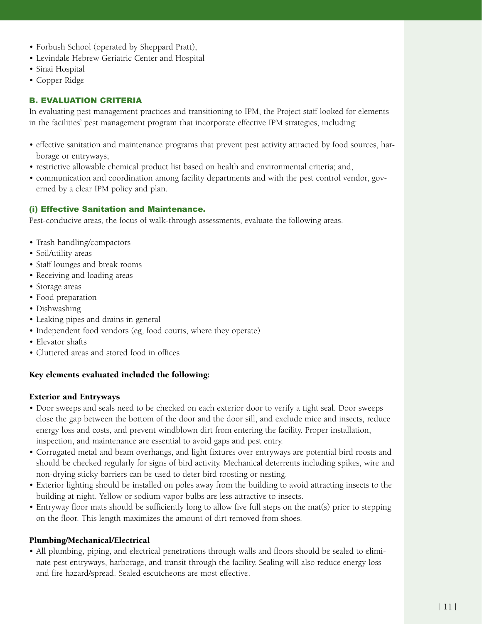- Forbush School (operated by Sheppard Pratt), •
- Levindale Hebrew Geriatric Center and Hospital •
- Sinai Hospital •
- Copper Ridge •

# B. Evaluation Criteria

In evaluating pest management practices and transitioning to IPM, the Project staff looked for elements in the facilities' pest management program that incorporate effective IPM strategies, including:

- effective sanitation and maintenance programs that prevent pest activity attracted by food sources, harborage or entryways;
- restrictive allowable chemical product list based on health and environmental criteria; and,
- communication and coordination among facility departments and with the pest control vendor, gov-• erned by a clear IPM policy and plan.

## (i) Effective Sanitation and Maintenance.

Pest-conducive areas, the focus of walk-through assessments, evaluate the following areas.

- Trash handling/compactors
- Soil/utility areas •
- Staff lounges and break rooms
- Receiving and loading areas
- Storage areas •
- Food preparation •
- Dishwashing •
- Leaking pipes and drains in general
- Independent food vendors (eg, food courts, where they operate)
- Elevator shafts
- Cluttered areas and stored food in offices •

# Key elements evaluated included the following:

#### Exterior and Entryways

- Door sweeps and seals need to be checked on each exterior door to verify a tight seal. Door sweeps close the gap between the bottom of the door and the door sill, and exclude mice and insects, reduce energy loss and costs, and prevent windblown dirt from entering the facility. Proper installation, inspection, and maintenance are essential to avoid gaps and pest entry.
- Corrugated metal and beam overhangs, and light fixtures over entryways are potential bird roosts and should be checked regularly for signs of bird activity. Mechanical deterrents including spikes, wire and non-drying sticky barriers can be used to deter bird roosting or nesting.
- Exterior lighting should be installed on poles away from the building to avoid attracting insects to the building at night. Yellow or sodium-vapor bulbs are less attractive to insects.
- Entryway floor mats should be sufficiently long to allow five full steps on the mat(s) prior to stepping on the floor. This length maximizes the amount of dirt removed from shoes.

#### Plumbing/Mechanical/Electrical

• All plumbing, piping, and electrical penetrations through walls and floors should be sealed to eliminate pest entryways, harborage, and transit through the facility. Sealing will also reduce energy loss and fire hazard/spread. Sealed escutcheons are most effective.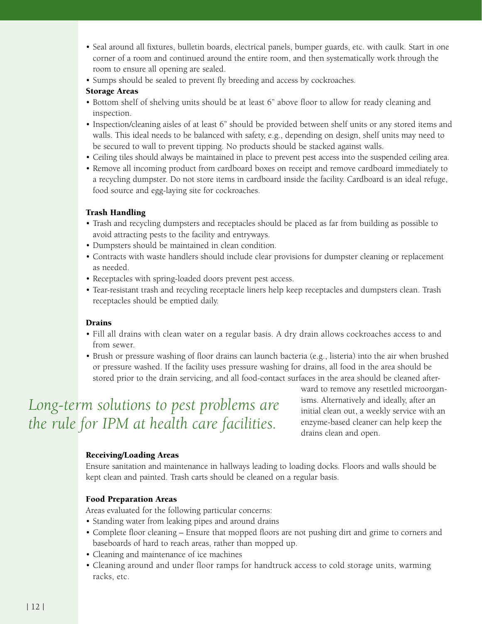- Seal around all fixtures, bulletin boards, electrical panels, bumper guards, etc. with caulk. Start in one corner of a room and continued around the entire room, and then systematically work through the room to ensure all opening are sealed.
- Sumps should be sealed to prevent fly breeding and access by cockroaches.

## Storage Areas

- Bottom shelf of shelving units should be at least 6" above floor to allow for ready cleaning and inspection.
- Inspection/cleaning aisles of at least 6" should be provided between shelf units or any stored items and walls. This ideal needs to be balanced with safety, e.g., depending on design, shelf units may need to be secured to wall to prevent tipping. No products should be stacked against walls.
- Ceiling tiles should always be maintained in place to prevent pest access into the suspended ceiling area. •
- Remove all incoming product from cardboard boxes on receipt and remove cardboard immediately to a recycling dumpster. Do not store items in cardboard inside the facility. Cardboard is an ideal refuge, food source and egg-laying site for cockroaches.

# Trash Handling

- Trash and recycling dumpsters and receptacles should be placed as far from building as possible to avoid attracting pests to the facility and entryways.
- Dumpsters should be maintained in clean condition. •
- Contracts with waste handlers should include clear provisions for dumpster cleaning or replacement as needed.
- Receptacles with spring-loaded doors prevent pest access.
- Tear-resistant trash and recycling receptacle liners help keep receptacles and dumpsters clean. Trash receptacles should be emptied daily.

# Drains

- Fill all drains with clean water on a regular basis. A dry drain allows cockroaches access to and from sewer.
- Brush or pressure washing of floor drains can launch bacteria (e.g., listeria) into the air when brushed or pressure washed. If the facility uses pressure washing for drains, all food in the area should be stored prior to the drain servicing, and all food-contact surfaces in the area should be cleaned after-

# *Long-term solutions to pest problems are the rule for IPM at health care facilities.*

ward to remove any resettled microorganisms. Alternatively and ideally, after an initial clean out, a weekly service with an enzyme-based cleaner can help keep the drains clean and open.

# Receiving/Loading Areas

Ensure sanitation and maintenance in hallways leading to loading docks. Floors and walls should be kept clean and painted. Trash carts should be cleaned on a regular basis.

# Food Preparation Areas

Areas evaluated for the following particular concerns:

- Standing water from leaking pipes and around drains
- Complete floor cleaning Ensure that mopped floors are not pushing dirt and grime to corners and baseboards of hard to reach areas, rather than mopped up.
- Cleaning and maintenance of ice machines •
- Cleaning around and under floor ramps for handtruck access to cold storage units, warming racks, etc.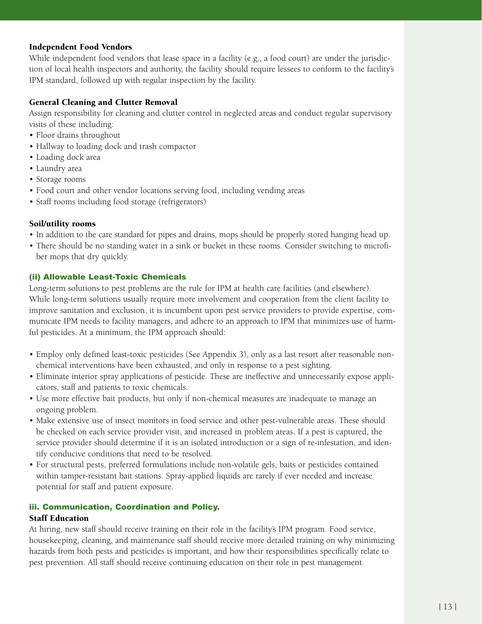#### Independent Food Vendors

While independent food vendors that lease space in a facility (e.g., a food court) are under the jurisdiction of local health inspectors and authority, the facility should require lessees to conform to the facility's IPM standard, followed up with regular inspection by the facility.

#### General Cleaning and Clutter Removal

Assign responsibility for cleaning and clutter control in neglected areas and conduct regular supervisory visits of these including:

- Floor drains throughout
- Hallway to loading dock and trash compactor
- Loading dock area •
- Laundry area •
- Storage rooms •
- Food court and other vendor locations serving food, including vending areas •
- Staff rooms including food storage (refrigerators)

## Soil/utility rooms

- In addition to the care standard for pipes and drains, mops should be properly stored hanging head up.
- There should be no standing water in a sink or bucket in these rooms. Consider switching to microfiber mops that dry quickly.

## (ii) Allowable Least-Toxic Chemicals

Long-term solutions to pest problems are the rule for IPM at health care facilities (and elsewhere). While long-term solutions usually require more involvement and cooperation from the client facility to improve sanitation and exclusion, it is incumbent upon pest service providers to provide expertise, communicate IPM needs to facility managers, and adhere to an approach to IPM that minimizes use of harmful pesticides. At a minimum, the IPM approach should:

- Employ only defined least-toxic pesticides (See Appendix 3), only as a last resort after reasonable non-• chemical interventions have been exhausted, and only in response to a pest sighting.
- Eliminate interior spray applications of pesticide. These are ineffective and unnecessarily expose appli-• cators, staff and patients to toxic chemicals.
- Use more effective bait products, but only if non-chemical measures are inadequate to manage an ongoing problem.
- Make extensive use of insect monitors in food service and other pest-vulnerable areas. These should be checked on each service provider visit, and increased in problem areas. If a pest is captured, the service provider should determine if it is an isolated introduction or a sign of re-infestation, and identify conducive conditions that need to be resolved.
- For structural pests, preferred formulations include non-volatile gels, baits or pesticides contained •within tamper-resistant bait stations. Spray-applied liquids are rarely if ever needed and increase potential for staff and patient exposure.

# iii. Communication, Coordination and Policy.

#### Staff Education

At hiring, new staff should receive training on their role in the facility's IPM program. Food service, housekeeping, cleaning, and maintenance staff should receive more detailed training on why minimizing hazards from both pests and pesticides is important, and how their responsibilities specifically relate to pest prevention. All staff should receive continuing education on their role in pest management.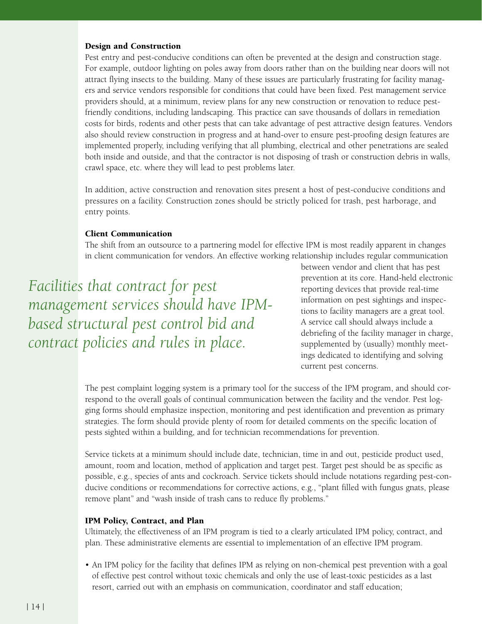#### Design and Construction

Pest entry and pest-conducive conditions can often be prevented at the design and construction stage. For example, outdoor lighting on poles away from doors rather than on the building near doors will not attract flying insects to the building. Many of these issues are particularly frustrating for facility managers and service vendors responsible for conditions that could have been fixed. Pest management service providers should, at a minimum, review plans for any new construction or renovation to reduce pestfriendly conditions, including landscaping. This practice can save thousands of dollars in remediation costs for birds, rodents and other pests that can take advantage of pest attractive design features. Vendors also should review construction in progress and at hand-over to ensure pest-proofing design features are implemented properly, including verifying that all plumbing, electrical and other penetrations are sealed both inside and outside, and that the contractor is not disposing of trash or construction debris in walls, crawl space, etc. where they will lead to pest problems later.

In addition, active construction and renovation sites present a host of pest-conducive conditions and pressures on a facility. Construction zones should be strictly policed for trash, pest harborage, and entry points.

#### Client Communication

The shift from an outsource to a partnering model for effective IPM is most readily apparent in changes in client communication for vendors. An effective working relationship includes regular communication

*Facilities that contract for pest management services should have IPMbased structural pest control bid and contract policies and rules in place.*

between vendor and client that has pest prevention at its core. Hand-held electronic reporting devices that provide real-time information on pest sightings and inspections to facility managers are a great tool. A service call should always include a debriefing of the facility manager in charge, supplemented by (usually) monthly meetings dedicated to identifying and solving current pest concerns.

The pest complaint logging system is a primary tool for the success of the IPM program, and should correspond to the overall goals of continual communication between the facility and the vendor. Pest logging forms should emphasize inspection, monitoring and pest identification and prevention as primary strategies. The form should provide plenty of room for detailed comments on the specific location of pests sighted within a building, and for technician recommendations for prevention.

Service tickets at a minimum should include date, technician, time in and out, pesticide product used, amount, room and location, method of application and target pest. Target pest should be as specific as possible, e.g., species of ants and cockroach. Service tickets should include notations regarding pest-conducive conditions or recommendations for corrective actions, e.g., "plant filled with fungus gnats, please remove plant" and "wash inside of trash cans to reduce fly problems."

#### IPM Policy, Contract, and Plan

Ultimately, the effectiveness of an IPM program is tied to a clearly articulated IPM policy, contract, and plan. These administrative elements are essential to implementation of an effective IPM program.

• An IPM policy for the facility that defines IPM as relying on non-chemical pest prevention with a goal of effective pest control without toxic chemicals and only the use of least-toxic pesticides as a last resort, carried out with an emphasis on communication, coordinator and staff education;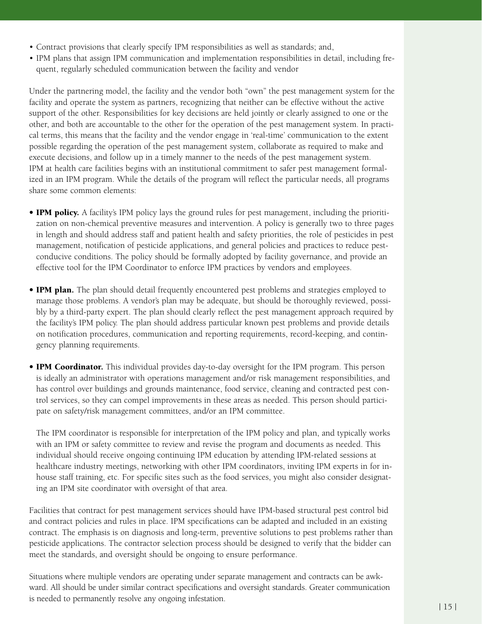- Contract provisions that clearly specify IPM responsibilities as well as standards; and, •
- IPM plans that assign IPM communication and implementation responsibilities in detail, including fre-• quent, regularly scheduled communication between the facility and vendor

Under the partnering model, the facility and the vendor both "own" the pest management system for the facility and operate the system as partners, recognizing that neither can be effective without the active support of the other. Responsibilities for key decisions are held jointly or clearly assigned to one or the other, and both are accountable to the other for the operation of the pest management system. In practical terms, this means that the facility and the vendor engage in 'real-time' communication to the extent possible regarding the operation of the pest management system, collaborate as required to make and execute decisions, and follow up in a timely manner to the needs of the pest management system. IPM at health care facilities begins with an institutional commitment to safer pest management formalized in an IPM program. While the details of the program will reflect the particular needs, all programs share some common elements:

- IPM policy. A facility's IPM policy lays the ground rules for pest management, including the prioritization on non-chemical preventive measures and intervention. A policy is generally two to three pages in length and should address staff and patient health and safety priorities, the role of pesticides in pest management, notification of pesticide applications, and general policies and practices to reduce pestconducive conditions. The policy should be formally adopted by facility governance, and provide an effective tool for the IPM Coordinator to enforce IPM practices by vendors and employees.
- IPM plan. The plan should detail frequently encountered pest problems and strategies employed to manage those problems. A vendor's plan may be adequate, but should be thoroughly reviewed, possibly by a third-party expert. The plan should clearly reflect the pest management approach required by the facility's IPM policy. The plan should address particular known pest problems and provide details on notification procedures, communication and reporting requirements, record-keeping, and contingency planning requirements.
- IPM Coordinator. This individual provides day-to-day oversight for the IPM program. This person is ideally an administrator with operations management and/or risk management responsibilities, and has control over buildings and grounds maintenance, food service, cleaning and contracted pest control services, so they can compel improvements in these areas as needed. This person should participate on safety/risk management committees, and/or an IPM committee.

The IPM coordinator is responsible for interpretation of the IPM policy and plan, and typically works with an IPM or safety committee to review and revise the program and documents as needed. This individual should receive ongoing continuing IPM education by attending IPM-related sessions at healthcare industry meetings, networking with other IPM coordinators, inviting IPM experts in for inhouse staff training, etc. For specific sites such as the food services, you might also consider designating an IPM site coordinator with oversight of that area.

Facilities that contract for pest management services should have IPM-based structural pest control bid and contract policies and rules in place. IPM specifications can be adapted and included in an existing contract. The emphasis is on diagnosis and long-term, preventive solutions to pest problems rather than pesticide applications. The contractor selection process should be designed to verify that the bidder can meet the standards, and oversight should be ongoing to ensure performance.

Situations where multiple vendors are operating under separate management and contracts can be awkward. All should be under similar contract specifications and oversight standards. Greater communication is needed to permanently resolve any ongoing infestation.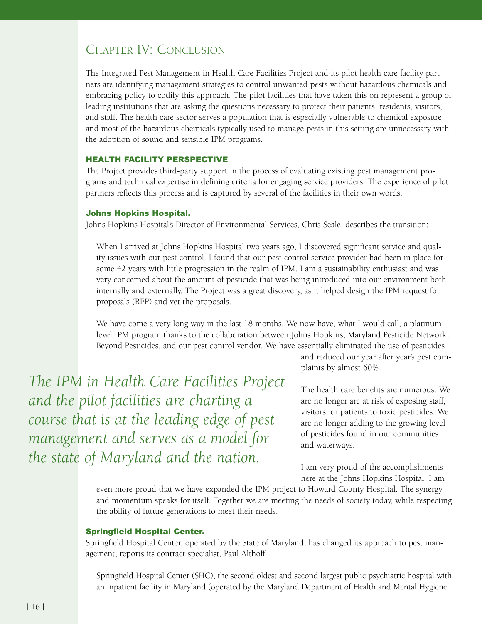# Chapter IV: Conclusion

The Integrated Pest Management in Health Care Facilities Project and its pilot health care facility partners are identifying management strategies to control unwanted pests without hazardous chemicals and embracing policy to codify this approach. The pilot facilities that have taken this on represent a group of leading institutions that are asking the questions necessary to protect their patients, residents, visitors, and staff. The health care sector serves a population that is especially vulnerable to chemical exposure and most of the hazardous chemicals typically used to manage pests in this setting are unnecessary with the adoption of sound and sensible IPM programs.

#### Health Facility Perspective

The Project provides third-party support in the process of evaluating existing pest management programs and technical expertise in defining criteria for engaging service providers. The experience of pilot partners reflects this process and is captured by several of the facilities in their own words.

#### Johns Hopkins Hospital.

Johns Hopkins Hospital's Director of Environmental Services, Chris Seale, describes the transition:

When I arrived at Johns Hopkins Hospital two years ago, I discovered significant service and quality issues with our pest control. I found that our pest control service provider had been in place for some 42 years with little progression in the realm of IPM. I am a sustainability enthusiast and was very concerned about the amount of pesticide that was being introduced into our environment both internally and externally. The Project was a great discovery, as it helped design the IPM request for proposals (RFP) and vet the proposals.

We have come a very long way in the last 18 months. We now have, what I would call, a platinum level IPM program thanks to the collaboration between Johns Hopkins, Maryland Pesticide Network, Beyond Pesticides, and our pest control vendor. We have essentially eliminated the use of pesticides

*The IPM in Health Care Facilities Project and the pilot facilities are charting a course that is at the leading edge of pest management and serves as a model for the state of Maryland and the nation.*

and reduced our year after year's pest complaints by almost 60%.

The health care benefits are numerous. We are no longer are at risk of exposing staff, visitors, or patients to toxic pesticides. We are no longer adding to the growing level of pesticides found in our communities and waterways.

I am very proud of the accomplishments here at the Johns Hopkins Hospital. I am

even more proud that we have expanded the IPM project to Howard County Hospital. The synergy and momentum speaks for itself. Together we are meeting the needs of society today, while respecting the ability of future generations to meet their needs.

#### Springfield Hospital Center.

Springfield Hospital Center, operated by the State of Maryland, has changed its approach to pest management, reports its contract specialist, Paul Althoff.

Springfield Hospital Center (SHC), the second oldest and second largest public psychiatric hospital with an inpatient facility in Maryland (operated by the Maryland Department of Health and Mental Hygiene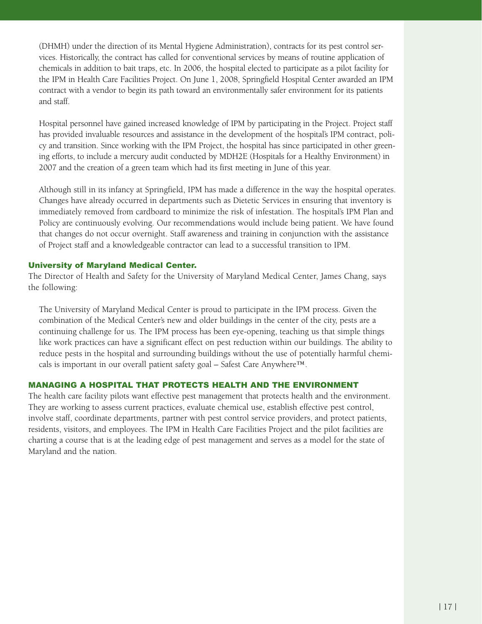(DHMH) under the direction of its Mental Hygiene Administration), contracts for its pest control services. Historically, the contract has called for conventional services by means of routine application of chemicals in addition to bait traps, etc. In 2006, the hospital elected to participate as a pilot facility for the IPM in Health Care Facilities Project. On June 1, 2008, Springfield Hospital Center awarded an IPM contract with a vendor to begin its path toward an environmentally safer environment for its patients and staff.

Hospital personnel have gained increased knowledge of IPM by participating in the Project. Project staff has provided invaluable resources and assistance in the development of the hospital's IPM contract, policy and transition. Since working with the IPM Project, the hospital has since participated in other greening efforts, to include a mercury audit conducted by MDH2E (Hospitals for a Healthy Environment) in 2007 and the creation of a green team which had its first meeting in June of this year.

Although still in its infancy at Springfield, IPM has made a difference in the way the hospital operates. Changes have already occurred in departments such as Dietetic Services in ensuring that inventory is immediately removed from cardboard to minimize the risk of infestation. The hospital's IPM Plan and Policy are continuously evolving. Our recommendations would include being patient. We have found that changes do not occur overnight. Staff awareness and training in conjunction with the assistance of Project staff and a knowledgeable contractor can lead to a successful transition to IPM.

#### University of Maryland Medical Center.

The Director of Health and Safety for the University of Maryland Medical Center, James Chang, says the following:

The University of Maryland Medical Center is proud to participate in the IPM process. Given the combination of the Medical Center's new and older buildings in the center of the city, pests are a continuing challenge for us. The IPM process has been eye-opening, teaching us that simple things like work practices can have a significant effect on pest reduction within our buildings. The ability to reduce pests in the hospital and surrounding buildings without the use of potentially harmful chemicals is important in our overall patient safety goal – Safest Care Anywhere™.

#### Managing a Hospital that Protects Health and the Environment

The health care facility pilots want effective pest management that protects health and the environment. They are working to assess current practices, evaluate chemical use, establish effective pest control, involve staff, coordinate departments, partner with pest control service providers, and protect patients, residents, visitors, and employees. The IPM in Health Care Facilities Project and the pilot facilities are charting a course that is at the leading edge of pest management and serves as a model for the state of Maryland and the nation.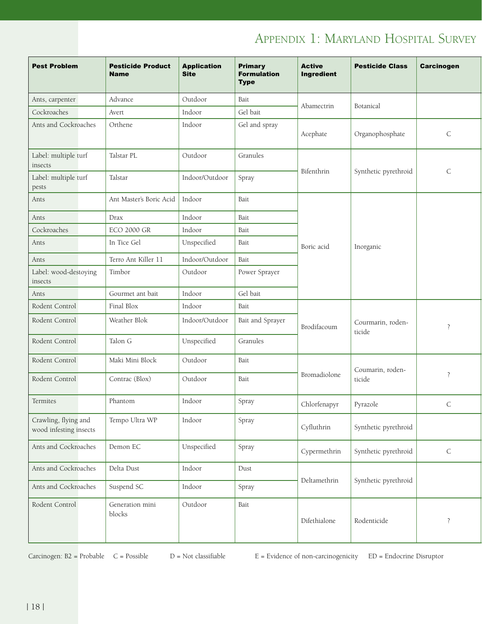# APPENDIX 1: MARYLAND HOSPITAL SURVEY

| <b>Pest Problem</b>                            | <b>Pesticide Product</b><br><b>Name</b> | <b>Application</b><br><b>Site</b> | <b>Primary</b><br><b>Formulation</b><br><b>Type</b> | <b>Active</b><br>Ingredient | <b>Pesticide Class</b>      | Carcinogen  |
|------------------------------------------------|-----------------------------------------|-----------------------------------|-----------------------------------------------------|-----------------------------|-----------------------------|-------------|
| Ants, carpenter                                | Advance                                 | Outdoor                           | Bait                                                |                             |                             |             |
| Cockroaches                                    | Avert                                   | Indoor                            | Gel bait                                            | Abamectrin                  | Botanical                   |             |
| Ants and Cockroaches                           | Orthene                                 | Indoor                            | Gel and spray                                       | Acephate                    | Organophosphate             | $\mathsf C$ |
| Label: multiple turf<br>insects                | Talstar PL                              | Outdoor                           | Granules                                            | Bifenthrin                  | Synthetic pyrethroid        | $\mathsf C$ |
| Label: multiple turf<br>pests                  | Talstar                                 | Indoor/Outdoor                    | Spray                                               |                             |                             |             |
| Ants                                           | Ant Master's Boric Acid   Indoor        |                                   | Bait                                                |                             |                             |             |
| Ants                                           | Drax                                    | Indoor                            | Bait                                                |                             |                             |             |
| Cockroaches                                    | <b>ECO 2000 GR</b>                      | Indoor                            | Bait                                                |                             |                             |             |
| Ants                                           | In Tice Gel                             | Unspecified                       | Bait                                                | Boric acid                  | Inorganic                   |             |
| Ants                                           | Terro Ant Killer 11                     | Indoor/Outdoor                    | Bait                                                |                             |                             |             |
| Label: wood-destoying<br>insects               | Timbor                                  | Outdoor                           | Power Sprayer                                       |                             |                             |             |
| Ants                                           | Gourmet ant bait                        | Indoor                            | Gel bait                                            |                             |                             |             |
| Rodent Control                                 | Final Blox                              | Indoor                            | Bait                                                |                             |                             |             |
| Rodent Control                                 | Weather Blok                            | Indoor/Outdoor                    | Bait and Sprayer                                    | Brodifacoum                 | Courmarin, roden-<br>ticide | $\ddot{?}$  |
| Rodent Control                                 | Talon G                                 | Unspecified                       | Granules                                            |                             |                             |             |
| Rodent Control                                 | Maki Mini Block                         | Outdoor                           | Bait                                                |                             | Coumarin, roden-            |             |
| Rodent Control                                 | Contrac (Blox)                          | Outdoor                           | Bait                                                | Bromadiolone                | ticide                      | $\ddot{?}$  |
| Termites                                       | Phantom                                 | Indoor                            | Spray                                               | Chlorfenapyr                | Pyrazole                    | $\mathsf C$ |
| Crawling, flying and<br>wood infesting insects | Tempo Ultra WP                          | Indoor                            | Spray                                               | Cyfluthrin                  | Synthetic pyrethroid        |             |
| Ants and Cockroaches                           | Demon EC                                | Unspecified                       | Spray                                               | Cypermethrin                | Synthetic pyrethroid        | $\mathsf C$ |
| Ants and Cockroaches                           | Delta Dust                              | Indoor                            | Dust                                                |                             |                             |             |
| Ants and Cockroaches                           | Suspend SC                              | Indoor                            | Spray                                               | Deltamethrin                | Synthetic pyrethroid        |             |
| Rodent Control                                 | Generation mini<br>blocks               | Outdoor                           | Bait                                                | Difethialone                | Rodenticide                 | $\cdot$ ?   |

Carcinogen:  $B2$  = Probable C = Possible D = Not classifiable E = Evidence of non-carcinogenicity ED = Endocrine Disruptor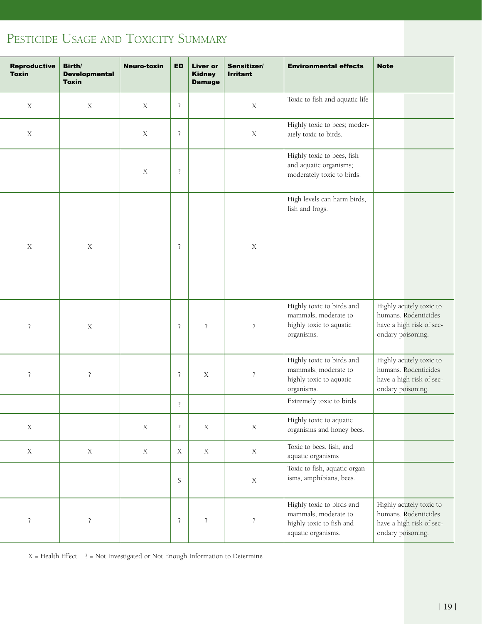# PESTICIDE USAGE AND TOXICITY SUMMARY

|                |                          |  | $\overline{E}$ ED Liver or<br><b>Kidney</b><br><b>Damage</b> | Sensitizer/<br><b>Irritant</b> | <b>Environmental effects</b>                                                                        | <b>Note</b>       |                                                                             |  |
|----------------|--------------------------|--|--------------------------------------------------------------|--------------------------------|-----------------------------------------------------------------------------------------------------|-------------------|-----------------------------------------------------------------------------|--|
|                | $\overline{\mathcal{L}}$ |  |                                                              | $\mathbf X$                    | Toxic to fish and aquatic life                                                                      |                   |                                                                             |  |
|                | $\overline{\mathbf{c}}$  |  |                                                              | X                              | Highly toxic to bees; moder-<br>ately toxic to birds.                                               |                   |                                                                             |  |
|                | $\overline{?}$           |  |                                                              |                                | Highly toxic to bees, fish<br>and aquatic organisms;<br>moderately toxic to birds.                  |                   |                                                                             |  |
|                |                          |  |                                                              |                                | High levels can harm birds,<br>fish and frogs.                                                      |                   |                                                                             |  |
|                | $\overline{?}$           |  |                                                              | $\mathbf X$                    |                                                                                                     |                   |                                                                             |  |
|                |                          |  |                                                              |                                | Highly toxic to birds and                                                                           |                   | Highly acutely toxic to                                                     |  |
| $\overline{c}$ | $\overline{?}$           |  |                                                              | $\ddot{?}$                     | mammals, moderate to<br>highly toxic to aquatic<br>organisms.                                       | ondary poisoning. | humans. Rodenticides<br>have a high risk of sec-                            |  |
|                | $\overline{?}$           |  | $\mathbf X$                                                  | $\overline{?}$                 | Highly toxic to birds and<br>mammals, moderate to<br>highly toxic to aquatic<br>organisms.          | ondary poisoning. | Highly acutely toxic to<br>humans. Rodenticides<br>have a high risk of sec- |  |
|                | $\overline{\mathcal{L}}$ |  |                                                              |                                | Extremely toxic to birds.                                                                           |                   |                                                                             |  |
|                | $\overline{\mathcal{L}}$ |  | $\mathbf X$                                                  | X                              | Highly toxic to aquatic<br>organisms and honey bees.                                                |                   |                                                                             |  |
|                | $\mathbf X$              |  | $\mathbf X$                                                  | $\mathbf X$                    | Toxic to bees, fish, and<br>aquatic organisms                                                       |                   |                                                                             |  |
|                | S                        |  |                                                              | $\mathbf X$                    | Toxic to fish, aquatic organ-<br>isms, amphibians, bees.                                            |                   |                                                                             |  |
| $\overline{?}$ | $\ddot{?}$               |  |                                                              | $\ddot{?}$                     | Highly toxic to birds and<br>mammals, moderate to<br>highly toxic to fish and<br>aquatic organisms. | ondary poisoning. | Highly acutely toxic to<br>humans. Rodenticides<br>have a high risk of sec- |  |

 $X = Health Effect$  ? = Not Investigated or Not Enough Information to Determine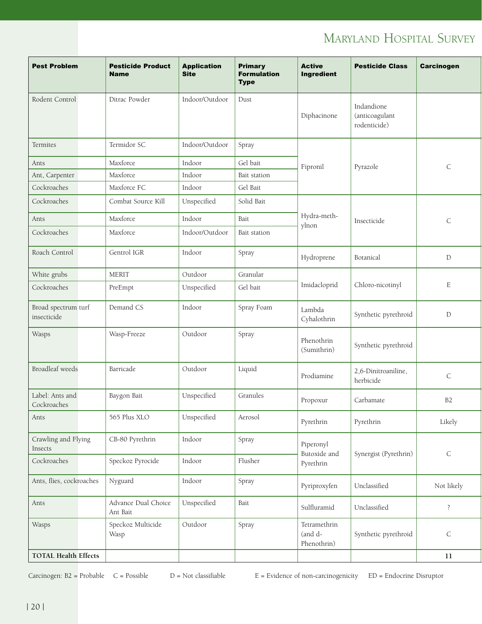# Maryland Hospital Survey

| <b>Pest Problem</b>                | <b>Pesticide Product</b><br><b>Name</b> | <b>Application</b><br><b>Site</b> | <b>Primary</b><br><b>Formulation</b><br><b>Type</b> | <b>Active</b><br>Ingredient            | <b>Pesticide Class</b>                       | <b>Carcinogen</b> |
|------------------------------------|-----------------------------------------|-----------------------------------|-----------------------------------------------------|----------------------------------------|----------------------------------------------|-------------------|
| Rodent Control                     | Ditrac Powder                           | Indoor/Outdoor                    | Dust                                                | Diphacinone                            | Indandione<br>(anticoagulant<br>rodenticide) |                   |
| Termites                           | Termidor SC                             | Indoor/Outdoor                    | Spray                                               |                                        |                                              |                   |
| Ants                               | Maxforce                                | Indoor                            | Gel bait                                            | Fipronil                               | Pyrazole                                     | $\mathsf C$       |
| Ant, Carpenter                     | Maxforce                                | Indoor                            | Bait station                                        |                                        |                                              |                   |
| Cockroaches                        | Maxforce FC                             | Indoor                            | Gel Bait                                            |                                        |                                              |                   |
| Cockroaches                        | Combat Source Kill                      | Unspecified                       | Solid Bait                                          |                                        |                                              |                   |
| Ants                               | Maxforce                                | Indoor                            | Bait                                                | Hydra-meth-                            | Insecticide                                  | $\mathsf C$       |
| Cockroaches                        | Maxforce                                | Indoor/Outdoor                    | Bait station                                        | ylnon                                  |                                              |                   |
| Roach Control                      | Gentrol IGR                             | Indoor                            | Spray                                               | Hydroprene                             | Botanical                                    | $\mathbb D$       |
| White grubs                        | <b>MERIT</b>                            | Outdoor                           | Granular                                            |                                        |                                              |                   |
| Cockroaches                        | PreEmpt                                 | Unspecified                       | Gel bait                                            | Imidacloprid                           | Chloro-nicotinyl                             | $\mathbf E$       |
| Broad spectrum turf<br>insecticide | Demand CS                               | Indoor                            | Spray Foam                                          | Lambda<br>Cyhalothrin                  | Synthetic pyrethroid                         | ${\mathcal{D}}$   |
| Wasps                              | Wasp-Freeze                             | Outdoor                           | Spray                                               | Phenothrin<br>(Sumithrin)              | Synthetic pyrethroid                         |                   |
| Broadleaf weeds                    | Barricade                               | Outdoor                           | Liquid                                              | Prodiamine                             | 2,6-Dinitroaniline,<br>herbicide             | $\mathsf C$       |
| Label: Ants and<br>Cockroaches     | Baygon Bait                             | Unspecified                       | Granules                                            | Propoxur                               | Carbamate                                    | B2                |
| Ants                               | 565 Plus XLO                            | Unspecified                       | Aerosol                                             | Pyrethrin                              | Pyrethrin                                    | Likely            |
| Crawling and Flying<br>Insects     | CB-80 Pyrethrin                         | Indoor                            | Spray                                               | Piperonyl                              |                                              |                   |
| Cockroaches                        | Speckoz Pyrocide                        | Indoor                            | Flusher                                             | Butoxide and<br>Pyrethrin              | Synergist (Pyrethrin)                        | $\mathsf C$       |
| Ants, flies, cockroaches           | Nyguard                                 | Indoor                            | Spray                                               | Pyriproxyfen                           | Unclassified                                 | Not likely        |
| Ants                               | Advance Dual Choice<br>Ant Bait         | Unspecified                       | Bait                                                | Sulfluramid                            | Unclassified                                 | $\overline{?}$    |
| Wasps                              | Speckoz Multicide<br>Wasp               | Outdoor                           | Spray                                               | Tetramethrin<br>(and d-<br>Phenothrin) | Synthetic pyrethroid                         | $\mathsf C$       |
| TOTAL Health Effects               |                                         |                                   |                                                     |                                        |                                              | $11\,$            |

Carcinogen:  $B2$  = Probable C = Possible D = Not classifiable E = Evidence of non-carcinogenicity ED = Endocrine Disruptor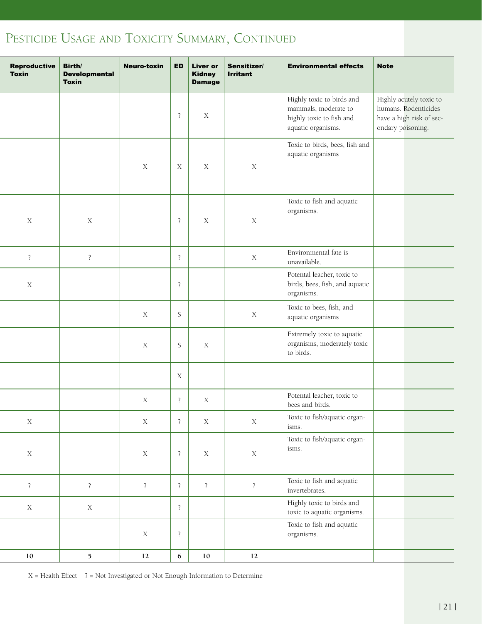# PESTICIDE USAGE AND TOXICITY SUMMARY, CONTINUED

| Reproductive Birth/<br><b>Toxin</b> | <b>Developmental</b><br><b>Toxin</b> | Neuro-toxin   ED   Liver or   Sensitizer/ |                          | Kidney<br><b>Damage</b> | <b>Irritant</b> | <b>Environmental effects</b>                                                                        | Note              |                                                                             |
|-------------------------------------|--------------------------------------|-------------------------------------------|--------------------------|-------------------------|-----------------|-----------------------------------------------------------------------------------------------------|-------------------|-----------------------------------------------------------------------------|
|                                     |                                      |                                           | $\overline{?}$           | $\mathbf X$             |                 | Highly toxic to birds and<br>mammals, moderate to<br>highly toxic to fish and<br>aquatic organisms. | ondary poisoning. | Highly acutely toxic to<br>humans. Rodenticides<br>have a high risk of sec- |
|                                     |                                      | $\mathbf X$                               | $\mathbf X$              | $\mathbf X$             | $\mathbf X$     | Toxic to birds, bees, fish and<br>aquatic organisms                                                 |                   |                                                                             |
| $\mathbf X$                         | $\mathbf X$                          |                                           | $\overline{?}$           | $\mathbf X$             | $\mathbf X$     | Toxic to fish and aquatic<br>organisms.                                                             |                   |                                                                             |
| $\ddot{?}$                          | $\overline{?}$                       |                                           | $\overline{?}$           |                         | $\mathbf X$     | Environmental fate is<br>unavailable.                                                               |                   |                                                                             |
| $\mathbf X$                         |                                      |                                           | $\overline{?}$           |                         |                 | Potental leacher, toxic to<br>birds, bees, fish, and aquatic<br>organisms.                          |                   |                                                                             |
|                                     |                                      | $\mathbf X$                               | S                        |                         | $\mathbf X$     | Toxic to bees, fish, and<br>aquatic organisms                                                       |                   |                                                                             |
|                                     |                                      | $\mathbf X$                               | S                        | $\mathbf X$             |                 | Extremely toxic to aquatic<br>organisms, moderately toxic<br>to birds.                              |                   |                                                                             |
|                                     |                                      |                                           | $\mathbf X$              |                         |                 |                                                                                                     |                   |                                                                             |
|                                     |                                      | $\mathbf X$                               | $\overline{\mathcal{L}}$ | X                       |                 | Potental leacher, toxic to<br>bees and birds.                                                       |                   |                                                                             |
| $\mathbf X$                         |                                      | $\mathbf X$                               | $\ddot{?}$               | $\mathbf X$             | $\mathbf X$     | Toxic to fish/aquatic organ-<br>isms.                                                               |                   |                                                                             |
| $\mathbf X$                         |                                      | $\mathbf X$                               | $\ddot{?}$               | $\mathbf X$             | $\mathbf X$     | Toxic to fish/aquatic organ-<br>isms.                                                               |                   |                                                                             |
| $\overline{?}$                      | $\ddot{?}$                           | $\ddot{?}$                                | $\overline{\mathcal{L}}$ | $\ddot{?}$              | $\ddot{?}$      | Toxic to fish and aquatic<br>invertebrates.                                                         |                   |                                                                             |
| $\mathbf X$                         | $\mathbf X$                          |                                           | $\ddot{?}$               |                         |                 | Highly toxic to birds and<br>toxic to aquatic organisms.                                            |                   |                                                                             |
|                                     |                                      | $\mathbf X$                               | $\overline{?}$           |                         |                 | Toxic to fish and aquatic<br>organisms.                                                             |                   |                                                                             |
| $10\,$                              | $\mathbf{5}$                         | 12                                        | 6                        | 10                      | 12              |                                                                                                     |                   |                                                                             |

 $X = Health Effect$  ? = Not Investigated or Not Enough Information to Determine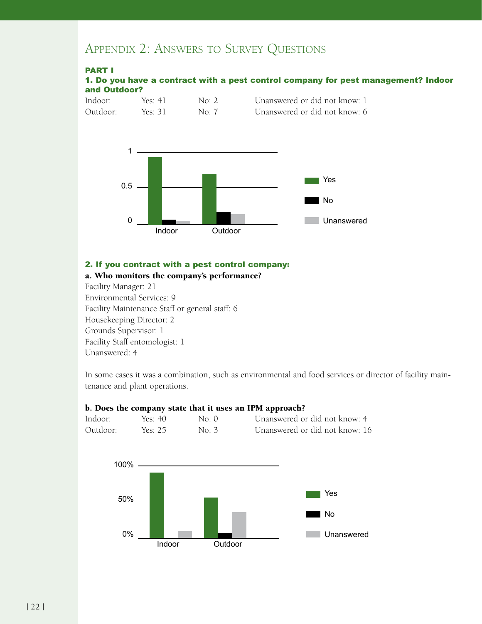# Appendix 2: Answers to Survey Questions

#### Part I

|              |  | 1. Do you have a contract with a pest control company for pest management? Indoor |  |
|--------------|--|-----------------------------------------------------------------------------------|--|
| and Outdoor? |  |                                                                                   |  |





#### 2. If you contract with a pest control company:

## a. Who monitors the company's performance?

Facility Manager: 21 Environmental Services: 9 Facility Maintenance Staff or general staff: 6 Housekeeping Director: 2 Grounds Supervisor: 1 Facility Staff entomologist: 1 Unanswered: 4

In some cases it was a combination, such as environmental and food services or director of facility maintenance and plant operations.

#### b. Does the company state that it uses an IPM approach?



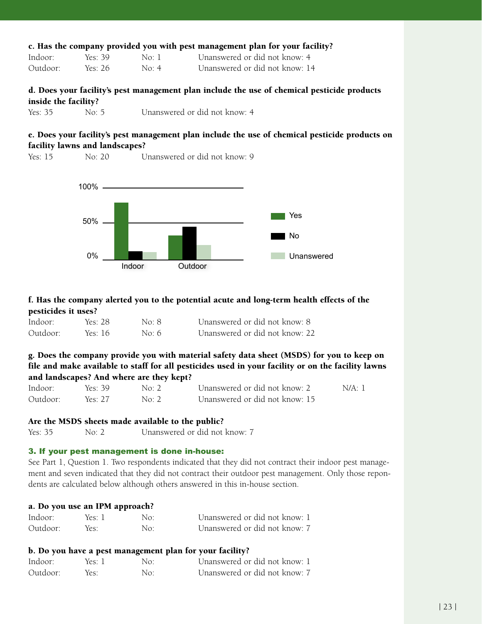|                      |         |                     | c. Has the company provided you with pest management plan for your facility?                |
|----------------------|---------|---------------------|---------------------------------------------------------------------------------------------|
| Indoor:              | Yes: 39 | $\rm No.1$          | Unanswered or did not know: 4                                                               |
| Outdoor:             | Yes: 26 | $\text{No} \cdot 4$ | Unanswered or did not know: 14                                                              |
| inside the facility? |         |                     | d. Does your facility's pest management plan include the use of chemical pesticide products |

| Yes: 35 | No: $5$ | Unanswered or did not know: 4 |  |
|---------|---------|-------------------------------|--|
|         |         |                               |  |

# e. Does your facility's pest management plan include the use of chemical pesticide products on facility lawns and landscapes?

Yes: 15 No: 20 Unanswered or did not know: 9



# f. Has the company alerted you to the potential acute and long-term health effects of the pesticides it uses?

| Indoor:  | Yes: 28 | No: 8 | Unanswered or did not know: 8  |
|----------|---------|-------|--------------------------------|
| Outdoor: | Yes: 16 | No: 6 | Unanswered or did not know: 22 |

g. Does the company provide you with material safety data sheet (MSDS) for you to keep on file and make available to staff for all pesticides used in your facility or on the facility lawns and landscapes? And where are they kept?

| Indoor:  | Yes: 39 | No: 2 | Unanswered or did not know: 2  | N/A:1 |
|----------|---------|-------|--------------------------------|-------|
| Outdoor: | Yes: 27 | No: 2 | Unanswered or did not know: 15 |       |

# Are the MSDS sheets made available to the public?

Yes: 35 No: 2 Unanswered or did not know: 7

# 3. If your pest management is done in-house:

See Part 1, Question 1. Two respondents indicated that they did not contract their indoor pest management and seven indicated that they did not contract their outdoor pest management. Only those repondents are calculated below although others answered in this in-house section.

#### a. Do you use an IPM approach?

| Indoor:  | Yes: 1 | No: | Unanswered or did not know: 1 |
|----------|--------|-----|-------------------------------|
| Outdoor: | Yes:   | No: | Unanswered or did not know: 7 |

## b. Do you have a pest management plan for your facility?

| Indoor:  | Yes: 1 | No: | Unanswered or did not know: 1 |
|----------|--------|-----|-------------------------------|
| Outdoor: | Yes:   | No: | Unanswered or did not know: 7 |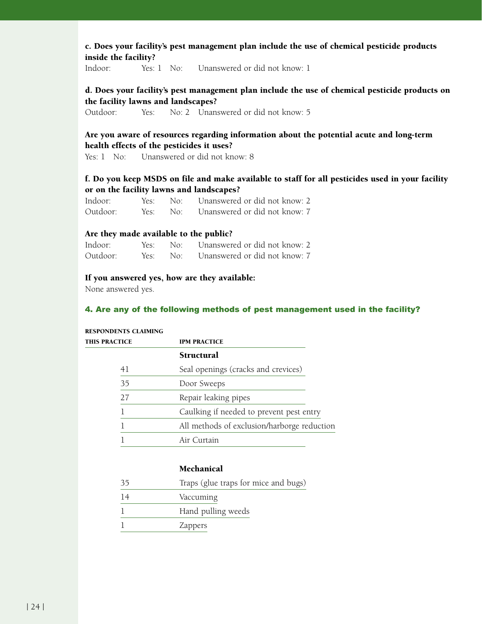## c. Does your facility's pest management plan include the use of chemical pesticide products inside the facility?

Indoor: Yes: 1 No: Unanswered or did not know: 1

# d. Does your facility's pest management plan include the use of chemical pesticide products on the facility lawns and landscapes?

Outdoor: Yes: No: 2 Unanswered or did not know: 5

# Are you aware of resources regarding information about the potential acute and long-term health effects of the pesticides it uses?

Yes: 1 No: Unanswered or did not know: 8

# f. Do you keep MSDS on file and make available to staff for all pesticides used in your facility or on the facility lawns and landscapes?

| Indoor:  |  | Yes: No: Unanswered or did not know: 2 |
|----------|--|----------------------------------------|
| Outdoor: |  | Yes: No: Unanswered or did not know: 7 |

#### Are they made available to the public?

| Indoor:  |  | Yes: No: Unanswered or did not know: 2 |
|----------|--|----------------------------------------|
| Outdoor: |  | Yes: No: Unanswered or did not know: 7 |

#### If you answered yes, how are they available:

None answered yes.

#### 4. Are any of the following methods of pest management used in the facility?

# this practice IPM Practice Structural 41 Seal openings (cracks and crevices) 35 Door Sweeps 27 Repair leaking pipes 1 Caulking if needed to prevent pest entry 1 All methods of exclusion/harborge reduction 1 Air Curtain

#### Respondents claiming

# Mechanical

| 35 | Traps (glue traps for mice and bugs) |
|----|--------------------------------------|
| 14 | Vaccuming                            |
|    | Hand pulling weeds                   |

1 Zappers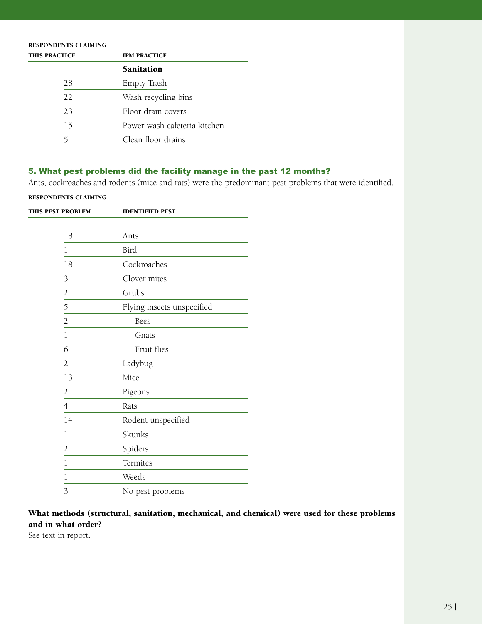| <b>RESPONDENTS CLAIMING</b> |                              |  |
|-----------------------------|------------------------------|--|
| <b>THIS PRACTICE</b>        | <b>IPM PRACTICE</b>          |  |
|                             | <b>Sanitation</b>            |  |
| 28                          | Empty Trash                  |  |
| 22                          | Wash recycling bins          |  |
| 23                          | Floor drain covers           |  |
| 15                          | Power wash cafeteria kitchen |  |
|                             | Clean floor drains           |  |

# 5. What pest problems did the facility manage in the past 12 months?

Ants, cockroaches and rodents (mice and rats) were the predominant pest problems that were identified.

#### Respondents claiming

| THIS PEST PROBLEM |                | <b>IDENTIFIED PEST</b>     |  |
|-------------------|----------------|----------------------------|--|
|                   |                |                            |  |
|                   | 18             | Ants                       |  |
|                   | 1              | Bird                       |  |
|                   | 18             | Cockroaches                |  |
|                   | 3              | Clover mites               |  |
|                   | $\overline{c}$ | Grubs                      |  |
|                   | 5              | Flying insects unspecified |  |
|                   | $\overline{2}$ | <b>Bees</b>                |  |
|                   | $\mathbf 1$    | Gnats                      |  |
|                   | 6              | Fruit flies                |  |
|                   | 2              | Ladybug                    |  |
|                   | 13             | Mice                       |  |
|                   | $\overline{2}$ | Pigeons                    |  |
|                   | 4              | Rats                       |  |
|                   | 14             | Rodent unspecified         |  |
|                   | 1              | Skunks                     |  |
|                   | $\overline{2}$ | Spiders                    |  |
|                   | 1              | Termites                   |  |
|                   | 1              | Weeds                      |  |
|                   | 3              | No pest problems           |  |
|                   |                |                            |  |

What methods (structural, sanitation, mechanical, and chemical) were used for these problems and in what order?

See text in report.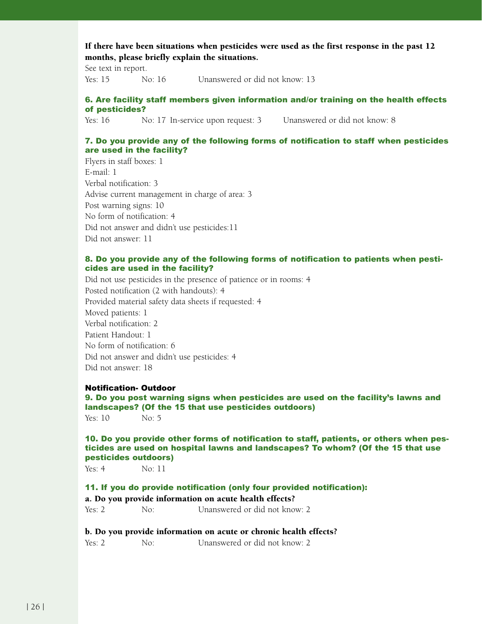# If there have been situations when pesticides were used as the first response in the past 12 months, please briefly explain the situations.

See text in report.

Yes: 15 No: 16 Unanswered or did not know: 13

## 6. Are facility staff members given information and/or training on the health effects of pesticides?

Yes: 16 No: 17 In-service upon request: 3 Unanswered or did not know: 8

#### 7. Do you provide any of the following forms of notification to staff when pesticides are used in the facility?

Flyers in staff boxes: 1 E-mail: 1 Verbal notification: 3 Advise current management in charge of area: 3 Post warning signs: 10 No form of notification: 4 Did not answer and didn't use pesticides:11 Did not answer: 11

#### 8. Do you provide any of the following forms of notification to patients when pesticides are used in the facility?

Did not use pesticides in the presence of patience or in rooms: 4 Posted notification (2 with handouts): 4 Provided material safety data sheets if requested: 4 Moved patients: 1 Verbal notification: 2 Patient Handout: 1 No form of notification: 6 Did not answer and didn't use pesticides: 4 Did not answer: 18

# Notification- Outdoor

9. Do you post warning signs when pesticides are used on the facility's lawns and landscapes? (Of the 15 that use pesticides outdoors)  $Yes: 10$  No: 5

#### 10. Do you provide other forms of notification to staff, patients, or others when pesticides are used on hospital lawns and landscapes? To whom? (Of the 15 that use pesticides outdoors)

Yes: 4 No: 11

#### 11. If you do provide notification (only four provided notification): a. Do you provide information on acute health effects?

Yes: 2 No: Unanswered or did not know: 2

#### b. Do you provide information on acute or chronic health effects?

Yes: 2 No: Unanswered or did not know: 2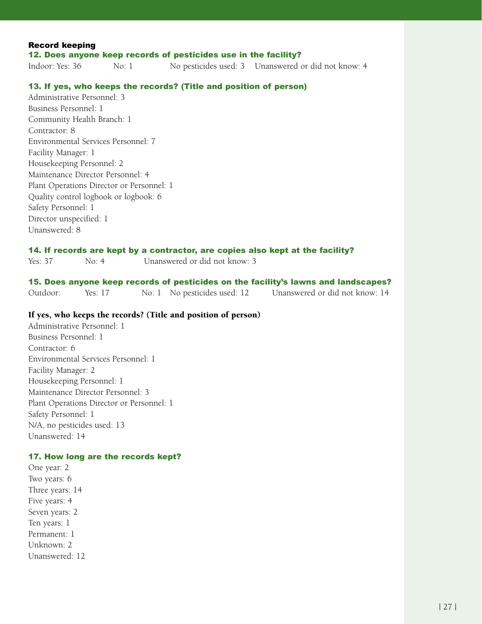| <b>Record keeping</b> |       |                                                                 |                                                     |  |
|-----------------------|-------|-----------------------------------------------------------------|-----------------------------------------------------|--|
|                       |       | 12. Does anyone keep records of pesticides use in the facility? |                                                     |  |
| Indoor: Yes: 36       | No: 1 |                                                                 | No pesticides used: 3 Unanswered or did not know: 4 |  |

#### 13. If yes, who keeps the records? (Title and position of person)

Administrative Personnel: 3 Business Personnel: 1 Community Health Branch: 1 Contractor: 8 Environmental Services Personnel: 7 Facility Manager: 1 Housekeeping Personnel: 2 Maintenance Director Personnel: 4 Plant Operations Director or Personnel: 1 Quality control logbook or logbook: 6 Safety Personnel: 1 Director unspecified: 1 Unanswered: 8

#### 14. If records are kept by a contractor, are copies also kept at the facility?

Yes: 37 No: 4 Unanswered or did not know: 3

# 15. Does anyone keep records of pesticides on the facility's lawns and landscapes?

Outdoor: Yes: 17 No: 1 No pesticides used: 12 Unanswered or did not know: 14

#### If yes, who keeps the records? (Title and position of person)

Administrative Personnel: 1 Business Personnel: 1 Contractor: 6 Environmental Services Personnel: 1 Facility Manager: 2 Housekeeping Personnel: 1 Maintenance Director Personnel: 3 Plant Operations Director or Personnel: 1 Safety Personnel: 1 N/A, no pesticides used: 13 Unanswered: 14

#### 17. How long are the records kept?

One year: 2 Two years: 6 Three years: 14 Five years: 4 Seven years: 2 Ten years: 1 Permanent: 1 Unknown: 2 Unanswered: 12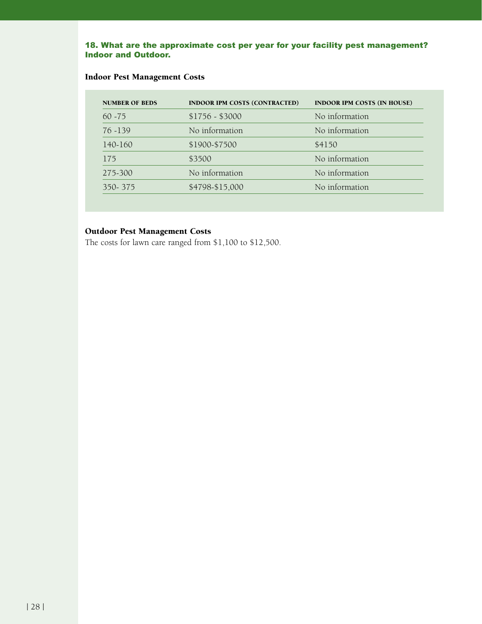#### 18. What are the approximate cost per year for your facility pest management? Indoor and Outdoor.

# Indoor Pest Management Costs

| <b>NUMBER OF BEDS</b> | <b>INDOOR IPM COSTS (CONTRACTED)</b> | <b>INDOOR IPM COSTS (IN HOUSE)</b> |
|-----------------------|--------------------------------------|------------------------------------|
| $60 - 75$             | $$1756 - $3000$                      | No information                     |
| $76 - 139$            | No information                       | No information                     |
| 140-160               | \$1900-\$7500                        | \$4150                             |
| 175                   | \$3500                               | No information                     |
| 275-300               | No information                       | No information                     |
| 350-375               | \$4798-\$15,000                      | No information                     |
|                       |                                      |                                    |

# Outdoor Pest Management Costs

The costs for lawn care ranged from \$1,100 to \$12,500.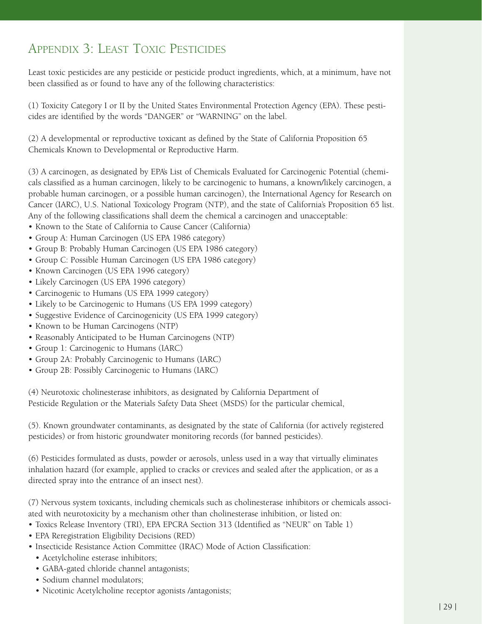# Appendix 3: Least Toxic Pesticides

Least toxic pesticides are any pesticide or pesticide product ingredients, which, at a minimum, have not been classified as or found to have any of the following characteristics:

(1) Toxicity Category I or II by the United States Environmental Protection Agency (EPA). These pesticides are identified by the words "DANGER" or "WARNING" on the label.

(2) A developmental or reproductive toxicant as defined by the State of California Proposition 65 Chemicals Known to Developmental or Reproductive Harm.

(3) A carcinogen, as designated by EPA's List of Chemicals Evaluated for Carcinogenic Potential (chemicals classified as a human carcinogen, likely to be carcinogenic to humans, a known/likely carcinogen, a probable human carcinogen, or a possible human carcinogen), the International Agency for Research on Cancer (IARC), U.S. National Toxicology Program (NTP), and the state of California's Proposition 65 list. Any of the following classifications shall deem the chemical a carcinogen and unacceptable:

- Known to the State of California to Cause Cancer (California)
- Group A: Human Carcinogen (US EPA 1986 category)
- Group B: Probably Human Carcinogen (US EPA 1986 category)
- Group C: Possible Human Carcinogen (US EPA 1986 category)
- Known Carcinogen (US EPA 1996 category)
- Likely Carcinogen (US EPA 1996 category)
- Carcinogenic to Humans (US EPA 1999 category) •
- Likely to be Carcinogenic to Humans (US EPA 1999 category)
- Suggestive Evidence of Carcinogenicity (US EPA 1999 category)
- Known to be Human Carcinogens (NTP)
- Reasonably Anticipated to be Human Carcinogens (NTP)
- Group 1: Carcinogenic to Humans (IARC) •
- Group 2A: Probably Carcinogenic to Humans (IARC) •
- Group 2B: Possibly Carcinogenic to Humans (IARC) •

(4) Neurotoxic cholinesterase inhibitors, as designated by California Department of Pesticide Regulation or the Materials Safety Data Sheet (MSDS) for the particular chemical,

(5). Known groundwater contaminants, as designated by the state of California (for actively registered pesticides) or from historic groundwater monitoring records (for banned pesticides).

(6) Pesticides formulated as dusts, powder or aerosols, unless used in a way that virtually eliminates inhalation hazard (for example, applied to cracks or crevices and sealed after the application, or as a directed spray into the entrance of an insect nest).

(7) Nervous system toxicants, including chemicals such as cholinesterase inhibitors or chemicals associated with neurotoxicity by a mechanism other than cholinesterase inhibition, or listed on:

- Toxics Release Inventory (TRI), EPA EPCRA Section 313 (Identified as "NEUR" on Table 1) •
- EPA Reregistration Eligibility Decisions (RED)
- Insecticide Resistance Action Committee (IRAC) Mode of Action Classification:
	- Acetylcholine esterase inhibitors; •
	- GABA-gated chloride channel antagonists; •
	- Sodium channel modulators;
	- Nicotinic Acetylcholine receptor agonists /antagonists;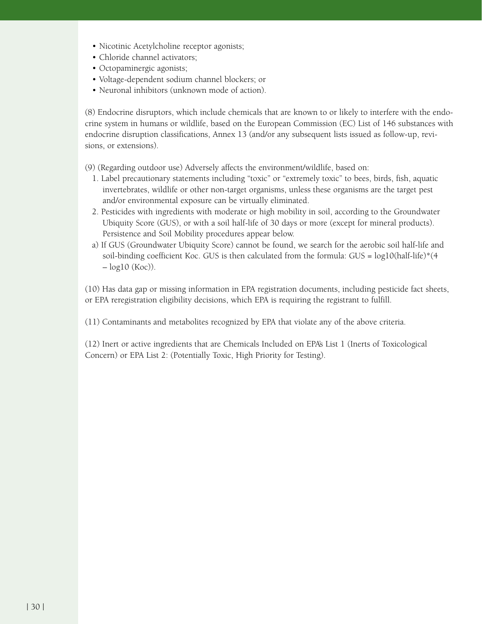- Nicotinic Acetylcholine receptor agonists;
- Chloride channel activators; •
- Octopaminergic agonists; •
- Voltage-dependent sodium channel blockers; or
- Neuronal inhibitors (unknown mode of action). •

(8) Endocrine disruptors, which include chemicals that are known to or likely to interfere with the endocrine system in humans or wildlife, based on the European Commission (EC) List of 146 substances with endocrine disruption classifications, Annex 13 (and/or any subsequent lists issued as follow-up, revisions, or extensions).

- (9) (Regarding outdoor use) Adversely affects the environment/wildlife, based on:
	- 1. Label precautionary statements including "toxic" or "extremely toxic" to bees, birds, fish, aquatic invertebrates, wildlife or other non-target organisms, unless these organisms are the target pest and/or environmental exposure can be virtually eliminated.
	- 2. Pesticides with ingredients with moderate or high mobility in soil, according to the Groundwater Ubiquity Score (GUS), or with a soil half-life of 30 days or more (except for mineral products). Persistence and Soil Mobility procedures appear below.
	- a) If GUS (Groundwater Ubiquity Score) cannot be found, we search for the aerobic soil half-life and soil-binding coefficient Koc. GUS is then calculated from the formula: GUS = log10(half-life)\*(4  $-\log 10$  (Koc)).

(10) Has data gap or missing information in EPA registration documents, including pesticide fact sheets, or EPA reregistration eligibility decisions, which EPA is requiring the registrant to fulfill.

(11) Contaminants and metabolites recognized by EPA that violate any of the above criteria.

(12) Inert or active ingredients that are Chemicals Included on EPA's List 1 (Inerts of Toxicological Concern) or EPA List 2: (Potentially Toxic, High Priority for Testing).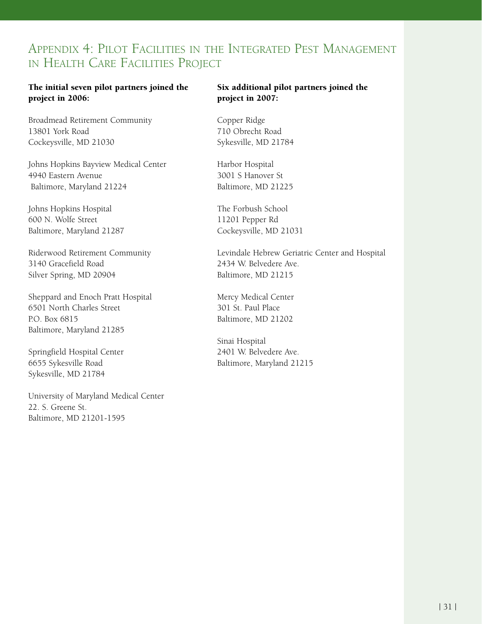# Appendix 4: Pilot Facilities in the Integrated Pest Management in Health Care Facilities Project

# The initial seven pilot partners joined the project in 2006:

Broadmead Retirement Community 13801 York Road Cockeysville, MD 21030

Johns Hopkins Bayview Medical Center 4940 Eastern Avenue Baltimore, Maryland 21224

Johns Hopkins Hospital 600 N. Wolfe Street Baltimore, Maryland 21287

Riderwood Retirement Community 3140 Gracefield Road Silver Spring, MD 20904

Sheppard and Enoch Pratt Hospital 6501 North Charles Street P.O. Box 6815 Baltimore, Maryland 21285

Springfield Hospital Center 6655 Sykesville Road Sykesville, MD 21784

University of Maryland Medical Center 22. S. Greene St. Baltimore, MD 21201-1595

# Six additional pilot partners joined the project in 2007:

Copper Ridge 710 Obrecht Road Sykesville, MD 21784

Harbor Hospital 3001 S Hanover St Baltimore, MD 21225

The Forbush School 11201 Pepper Rd Cockeysville, MD 21031

Levindale Hebrew Geriatric Center and Hospital 2434 W. Belvedere Ave. Baltimore, MD 21215

Mercy Medical Center 301 St. Paul Place Baltimore, MD 21202

Sinai Hospital 2401 W. Belvedere Ave. Baltimore, Maryland 21215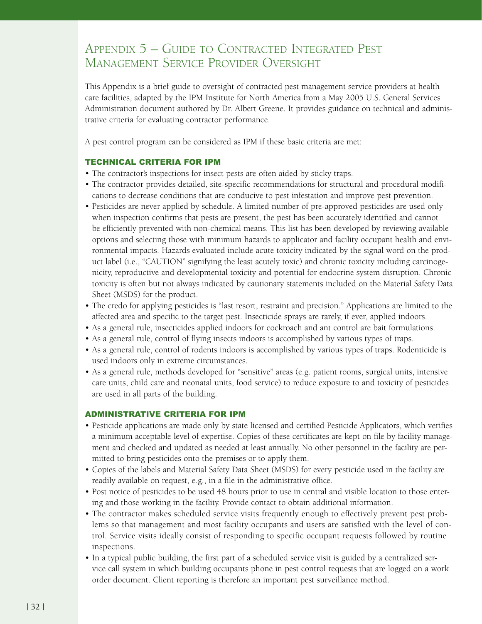# Appendix 5 – Guide to Contracted Integrated Pest Management Service Provider Oversight

This Appendix is a brief guide to oversight of contracted pest management service providers at health care facilities, adapted by the IPM Institute for North America from a May 2005 U.S. General Services Administration document authored by Dr. Albert Greene. It provides guidance on technical and administrative criteria for evaluating contractor performance.

A pest control program can be considered as IPM if these basic criteria are met:

# TECHNICAL CRITERIA FOR IPM

- The contractor's inspections for insect pests are often aided by sticky traps.
- The contractor provides detailed, site-specific recommendations for structural and procedural modifications to decrease conditions that are conducive to pest infestation and improve pest prevention.
- Pesticides are never applied by schedule. A limited number of pre-approved pesticides are used only when inspection confirms that pests are present, the pest has been accurately identified and cannot be efficiently prevented with non-chemical means. This list has been developed by reviewing available options and selecting those with minimum hazards to applicator and facility occupant health and environmental impacts. Hazards evaluated include acute toxicity indicated by the signal word on the product label (i.e., "CAUTION" signifying the least acutely toxic) and chronic toxicity including carcinogenicity, reproductive and developmental toxicity and potential for endocrine system disruption. Chronic toxicity is often but not always indicated by cautionary statements included on the Material Safety Data Sheet (MSDS) for the product.
- The credo for applying pesticides is "last resort, restraint and precision." Applications are limited to the affected area and specific to the target pest. Insecticide sprays are rarely, if ever, applied indoors.
- As a general rule, insecticides applied indoors for cockroach and ant control are bait formulations.
- As a general rule, control of flying insects indoors is accomplished by various types of traps.
- As a general rule, control of rodents indoors is accomplished by various types of traps. Rodenticide is used indoors only in extreme circumstances.
- As a general rule, methods developed for "sensitive" areas (e.g. patient rooms, surgical units, intensive care units, child care and neonatal units, food service) to reduce exposure to and toxicity of pesticides are used in all parts of the building.

#### ADMINISTRATIVE CRITERIA FOR IPM

- Pesticide applications are made only by state licensed and certified Pesticide Applicators, which verifies a minimum acceptable level of expertise. Copies of these certificates are kept on file by facility management and checked and updated as needed at least annually. No other personnel in the facility are permitted to bring pesticides onto the premises or to apply them.
- Copies of the labels and Material Safety Data Sheet (MSDS) for every pesticide used in the facility are readily available on request, e.g., in a file in the administrative office.
- Post notice of pesticides to be used 48 hours prior to use in central and visible location to those entering and those working in the facility. Provide contact to obtain additional information.
- The contractor makes scheduled service visits frequently enough to effectively prevent pest problems so that management and most facility occupants and users are satisfied with the level of control. Service visits ideally consist of responding to specific occupant requests followed by routine inspections.
- In a typical public building, the first part of a scheduled service visit is guided by a centralized service call system in which building occupants phone in pest control requests that are logged on a work order document. Client reporting is therefore an important pest surveillance method.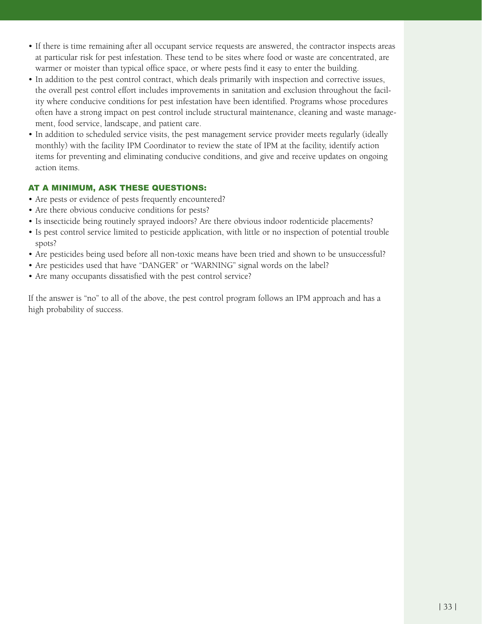- If there is time remaining after all occupant service requests are answered, the contractor inspects areas at particular risk for pest infestation. These tend to be sites where food or waste are concentrated, are warmer or moister than typical office space, or where pests find it easy to enter the building.
- In addition to the pest control contract, which deals primarily with inspection and corrective issues, the overall pest control effort includes improvements in sanitation and exclusion throughout the facility where conducive conditions for pest infestation have been identified. Programs whose procedures often have a strong impact on pest control include structural maintenance, cleaning and waste management, food service, landscape, and patient care.
- In addition to scheduled service visits, the pest management service provider meets regularly (ideally monthly) with the facility IPM Coordinator to review the state of IPM at the facility, identify action items for preventing and eliminating conducive conditions, and give and receive updates on ongoing action items.

# AT A MINIMUM, ASK THESE QUESTIONS:

- Are pests or evidence of pests frequently encountered?
- Are there obvious conducive conditions for pests?
- Is insecticide being routinely sprayed indoors? Are there obvious indoor rodenticide placements?
- Is pest control service limited to pesticide application, with little or no inspection of potential trouble spots?
- Are pesticides being used before all non-toxic means have been tried and shown to be unsuccessful? •
- Are pesticides used that have "DANGER" or "WARNING" signal words on the label?
- Are many occupants dissatisfied with the pest control service?

If the answer is "no" to all of the above, the pest control program follows an IPM approach and has a high probability of success.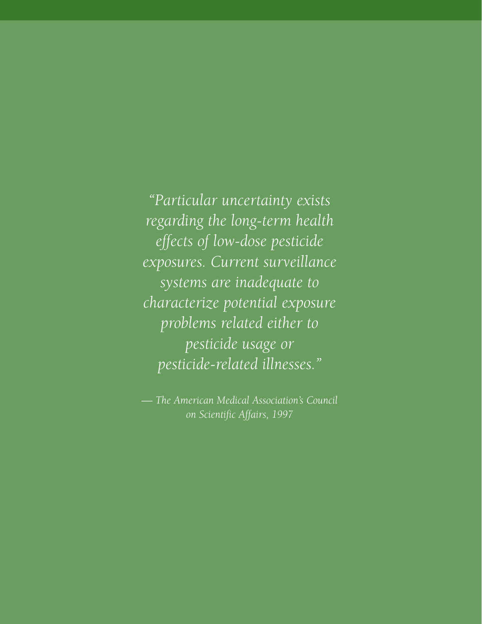*"Particular uncertainty exists regarding the long-term health effects of low-dose pesticide exposures. Current surveillance systems are inadequate to characterize potential exposure problems related either to pesticide usage or pesticide-related illnesses."* 

*— The American Medical Association's Council on Scientific Affairs, 1997*